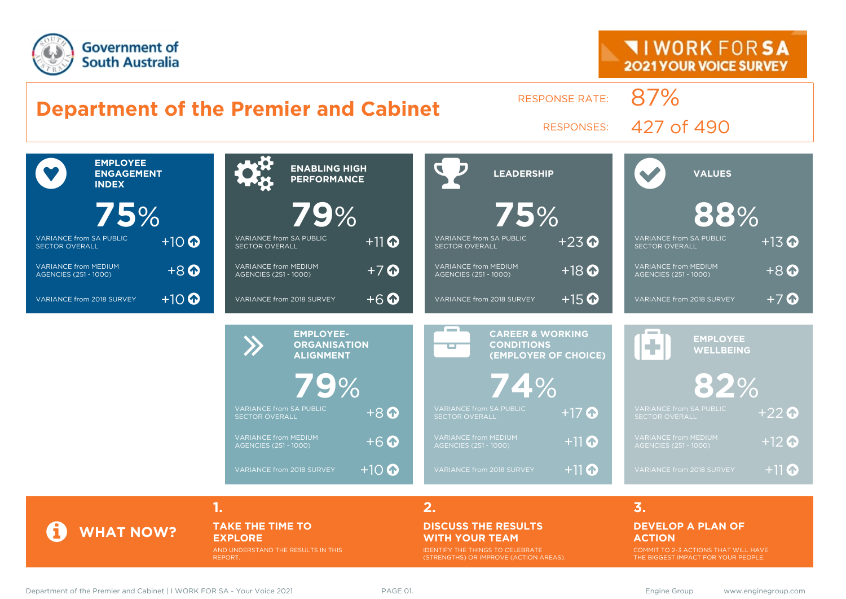



AND UNDERSTAND THE RESULTS IN THIS REPORT.

IDENTIFY THE THINGS TO CELEBRATE (STRENGTHS) OR IMPROVE (ACTION AREAS).

THE BIGGEST IMPACT FOR YOUR PEOPLE.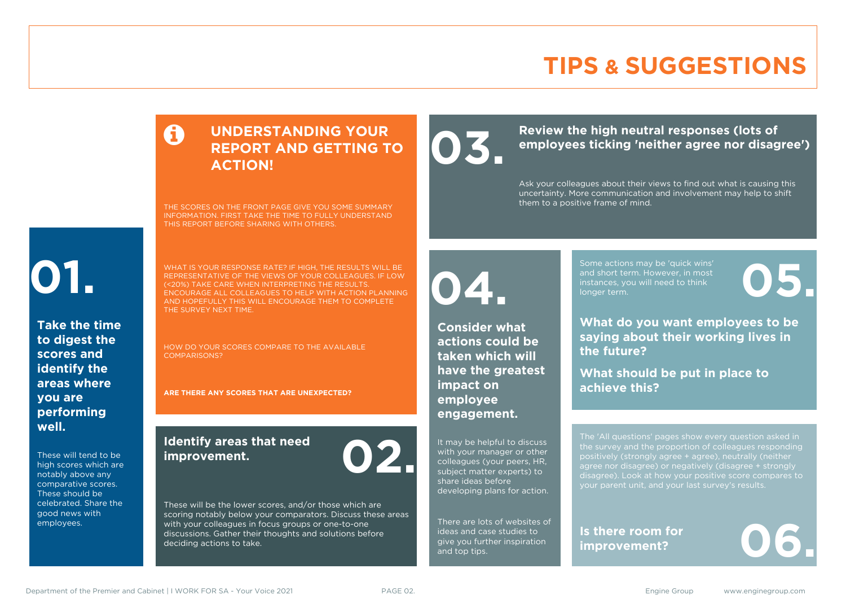# **TIPS & SUGGESTIONS**

### **UNDERSTANDING YOUR REPORT AND GETTING TO ACTION!**

THE SCORES ON THE FRONT PAGE GIVE YOU SOME SUMMARY INFORMATION. FIRST TAKE THE TIME TO FULLY UNDERSTAND THIS REPORT BEFORE SHARING WITH OTHERS.

# **01.**

**Take the time to digest the scores and identify the areas where you are performing well.**

These will tend to be high scores which are notably above any comparative scores. These should be celebrated. Share the good news with employees.

WHAT IS YOUR RESPONSE RATE? IF HIGH, THE RESULTS WILL BE REPRESENTATIVE OF THE VIEWS OF YOUR COLLEAGUES. IF LOW (<20%) TAKE CARE WHEN INTERPRETING THE RESULTS. ENCOURAGE ALL COLLEAGUES TO HELP WITH ACTION PLANNING AND HOPEFULLY THIS WILL ENCOURAGE THEM TO COMPLETE THE SURVEY NEXT TIME.

HOW DO YOUR SCORES COMPARE TO THE AVAILABLE COMPARISONS?

**ARE THERE ANY SCORES THAT ARE UNEXPECTED?**

### **Identify areas that need improvement. 02.**

These will be the lower scores, and/or those which are scoring notably below your comparators. Discuss these areas with your colleagues in focus groups or one-to-one discussions. Gather their thoughts and solutions before deciding actions to take.

Review the high neutral responses (lots of employees ticking 'neither agree nor disag **employees ticking 'neither agree nor disagree')**

> Ask your colleagues about their views to find out what is causing this uncertainty. More communication and involvement may help to shift them to a positive frame of mind.

**04.**

**Consider what actions could be taken which will have the greatest impact on employee engagement.**

It may be helpful to discuss with your manager or other colleagues (your peers, HR, subject matter experts) to share ideas before developing plans for action.

There are lots of websites of ideas and case studies to give you further inspiration and top tips.

Some actions may be 'quick wins' and short term. However, in most instances, you will need to think Some actions may be 'quick wins'<br>and short term. However, in most<br>instances, you will need to think<br>longer term.

**What do you want employees to be saying about their working lives in the future?**

**What should be put in place to achieve this?**

The 'All questions' pages show every question asked in positively (strongly agree + agree), neutrally (neither agree nor disagree) or negatively (disagree + strongly disagree). Look at how your positive score compares to your parent unit, and your last survey's results.

**Is there room for**  Is there room for<br>improvement?

Department of the Premier and Cabinet | I WORK FOR SA - Your Voice 2021 PAGE 02. Engine Group www.enginegroup.com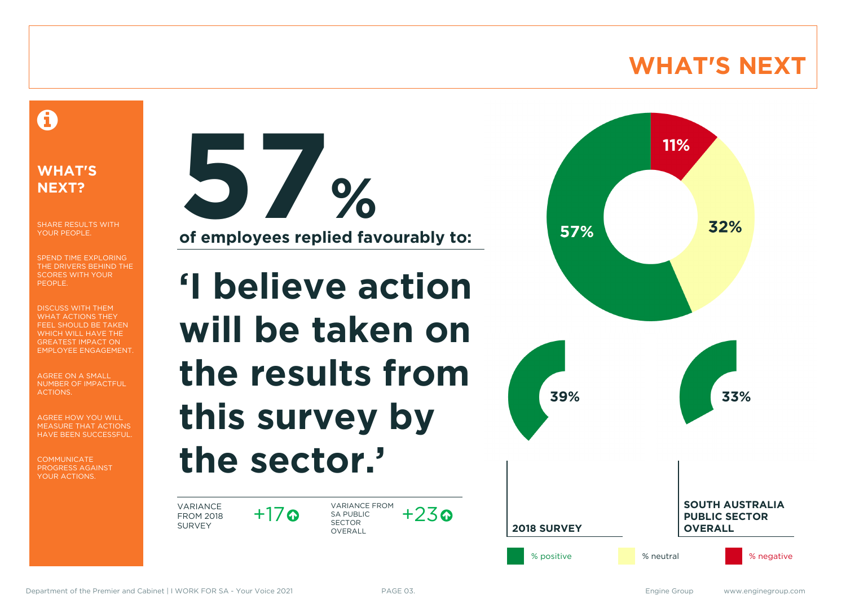# **WHAT'S NEXT**

### A

### **WHAT'S NEXT?**

SHARE RESULTS WITH YOUR PEOPLE.

SPEND TIME EXPLORING THE DRIVERS BEHIND THE SCORES WITH YOUR PEOPLE.

DISCUSS WITH THEM WHAT ACTIONS THEY FEEL SHOULD BE TAKEN WHICH WILL HAVE THE GREATEST IMPACT ON EMPLOYEE ENGAGEMENT.

AGREE ON A SMALL NUMBER OF IMPACTFUL ACTIONS.

AGREE HOW YOU WILL MEASURE THAT ACTIONS HAVE BEEN SUCCESSFUL.

**COMMUNICATE** PROGRESS AGAINST YOUR ACTIONS.



**of employees replied favourably to:**

# **'I believe action will be taken on the results from this survey by the sector.'**

VARIANCE FROM 2018 SURVEY

 $+17$ ര

VARIANCE FROM SA PUBLIC SECTOR **OVERALL**  $+23$ 

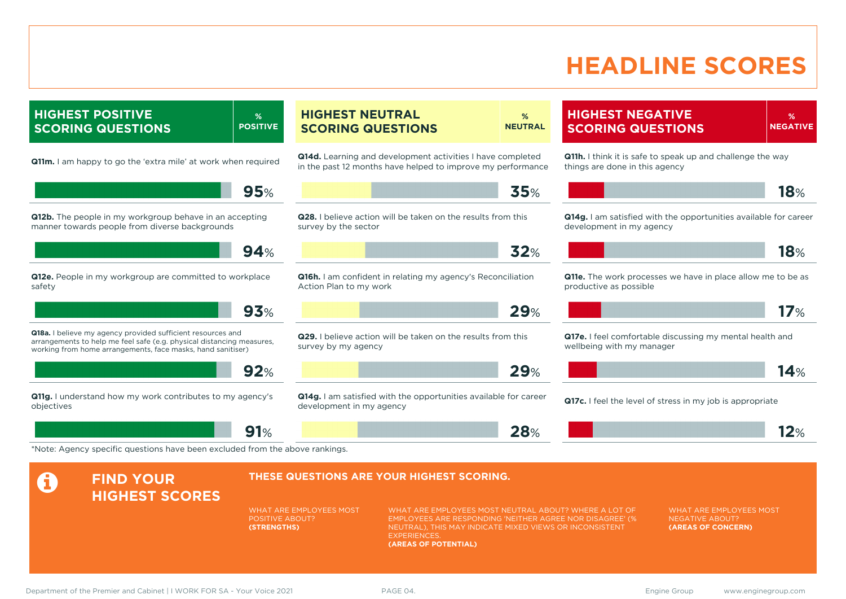# **HEADLINE SCORES**

**HIGHEST POSITIVE SCORING QUESTIONS % POSITIVE Q11m.** I am happy to go the 'extra mile' at work when required **95**% **Q12b.** The people in my workgroup behave in an accepting manner towards people from diverse backgrounds **94**% **Q12e.** People in my workgroup are committed to workplace safety **93**% **Q18a.** I believe my agency provided sufficient resources and arrangements to help me feel safe (e.g. physical distancing measures, working from home arrangements, face masks, hand sanitiser) **92**% **Q11g.** I understand how my work contributes to my agency's objectives **91**% **HIGHEST NEUTRAL SCORING QUESTIONS % NEUTRAL Q14d.** Learning and development activities I have completed in the past 12 months have helped to improve my performance **35**% **Q28.** I believe action will be taken on the results from this survey by the sector **32**% **Q16h.** I am confident in relating my agency's Reconciliation Action Plan to my work **29**% **Q29.** I believe action will be taken on the results from this survey by my agency **29**% **Q14g.** I am satisfied with the opportunities available for career development in my agency **28**% **HIGHEST NEGATIVE SCORING QUESTIONS % NEGATIVE Q11h.** I think it is safe to speak up and challenge the way things are done in this agency **18**% **Q14g.** I am satisfied with the opportunities available for career development in my agency **18**% **Q11e.** The work processes we have in place allow me to be as productive as possible **17**% **Q17e.** I feel comfortable discussing my mental health and wellbeing with my manager **14**% **Q17c.** I feel the level of stress in my job is appropriate **12**% \*Note: Agency specific questions have been excluded from the above rankings. **A** FIND YOUR **HIGHEST SCORES THESE QUESTIONS ARE YOUR HIGHEST SCORING.** WHAT ARE EMPLOYEES MOST POSITIVE ABOUT? **(STRENGTHS)** WHAT ARE EMPLOYEES MOST NEUTRAL ABOUT? WHERE A LOT OF EMPLOYEES ARE RESPONDING 'NEITHER AGREE NOR DISAGREE' (% NEUTRAL), THIS MAY INDICATE MIXED VIEWS OR INCONSISTENT **EXPERIENCES (AREAS OF POTENTIAL)** WHAT ARE EMPLOYEES MOST NEGATIVE ABOUT? **(AREAS OF CONCERN)**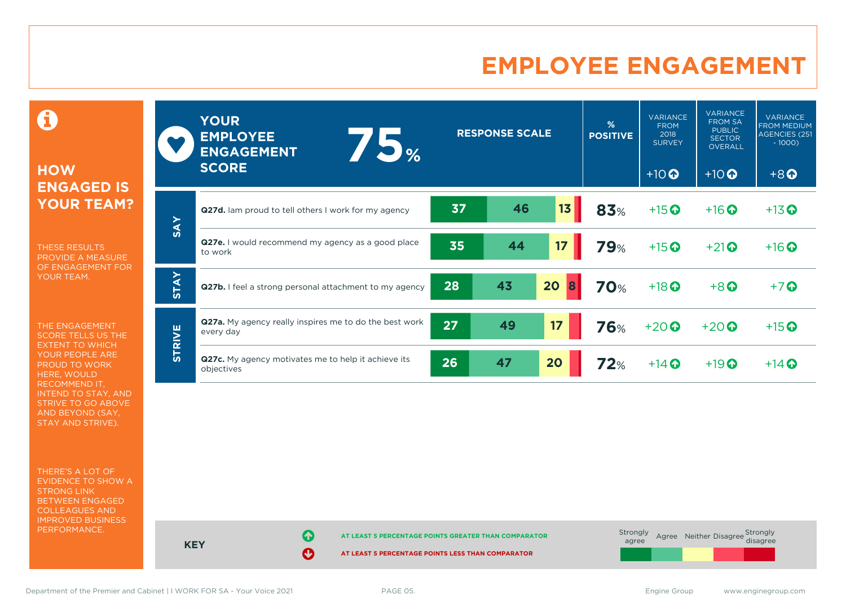# **EMPLOYEE ENGAGEMENT**

0

### **HOW ENGAGED IS YOUR TEAM?**

THESE RESULTS PROVIDE A MEASURE OF ENGAGEMENT FOR YOUR TEAM.

THE ENGAGEMENT SCORE TELLS US THE EXTENT TO WHICH YOUR PEOPLE ARE PROUD TO WORK HERE, WOULD RECOMMEND IT, INTEND TO STAY, AND STRIVE TO GO ABOVE AND BEYOND (SAY, STAY AND STRIVE).

THERE'S A LOT OF EVIDENCE TO SHOW A STRONG LINK BETWEEN ENGAGED COLLEAGUES AND IMPROVED BUSINESS PERFORMANCE.

|               | <b>YOUR</b><br><b>EMPLOYEE</b><br>75%<br><b>ENGAGEMENT</b><br><b>SCORE</b> |    | <b>RESPONSE SCALE</b> |                 | %<br><b>POSITIVE</b> | <b>VARIANCE</b><br><b>FROM</b><br>2018<br><b>SURVEY</b><br>$+10$ <sup>O</sup> | <b>VARIANCE</b><br><b>FROM SA</b><br><b>PUBLIC</b><br><b>SECTOR</b><br>OVERALL<br>$+10$ <sup>O</sup> | <b>VARIANCE</b><br><b>FROM MEDIUM</b><br>AGENCIES (251<br>$-1000$<br>$+8$ <sup><math>\odot</math></sup> |
|---------------|----------------------------------------------------------------------------|----|-----------------------|-----------------|----------------------|-------------------------------------------------------------------------------|------------------------------------------------------------------------------------------------------|---------------------------------------------------------------------------------------------------------|
|               | Q27d. Iam proud to tell others I work for my agency                        | 37 | 46                    | 13 <sub>1</sub> | 83%                  | $+15$ <sup>O</sup>                                                            | $+16$ <sup>O</sup>                                                                                   | $+13$ <sup>O</sup>                                                                                      |
| <b>SAY</b>    | <b>Q27e.</b> I would recommend my agency as a good place<br>to work        | 35 | 44                    | 17              | <b>79%</b>           | $+15$ <sup>O</sup>                                                            | $+21$ <sup>O</sup>                                                                                   | $+16$ <sup>O</sup>                                                                                      |
| <b>STAY</b>   | Q27b. I feel a strong personal attachment to my agency                     | 28 | 43                    | 20<br>8         | <b>70%</b>           | $+18$ <sup>O</sup>                                                            | $+8$ <sup><math>\odot</math></sup>                                                                   | $+7$ $\odot$                                                                                            |
|               | <b>Q27a.</b> My agency really inspires me to do the best work<br>every day | 27 | 49                    | 17              | <b>76%</b>           | $+20$                                                                         | $+20$                                                                                                | $+15$ <sup>O</sup>                                                                                      |
| <b>STRIVE</b> | Q27c. My agency motivates me to help it achieve its<br>objectives          | 26 | 47                    | 20              | 72%                  | $+14$ $\odot$                                                                 | $+19$ <sup>O</sup>                                                                                   | $+14$ $\odot$                                                                                           |



Department of the Premier and Cabinet | I WORK FOR SA - Your Voice 2021 PAGE 05. The Same Communication of the Premier and Cabinet | I WORK FOR SA - Your Voice 2021 PAGE 05.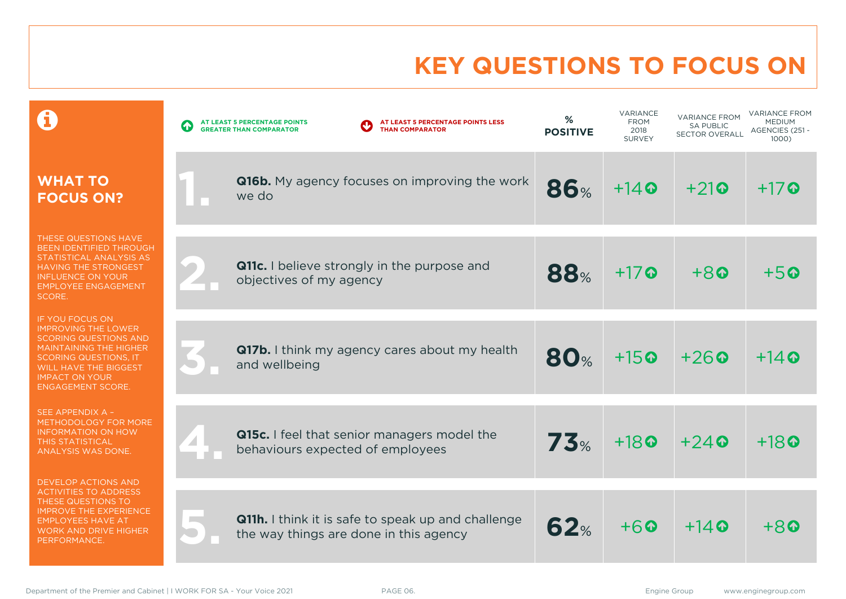# **KEY QUESTIONS TO FOCUS ON**

|                                                                                                                                                                                                                                            | AT LEAST 5 PERCENTAGE POINTS LESS<br>AT LEAST 5 PERCENTAGE POINTS<br><b>THAN COMPARATOR</b><br><b>GREATER THAN COMPARATOR</b> | %<br><b>POSITIVE</b> | VARIANCE<br><b>FROM</b><br>2018<br><b>SURVEY</b> | <b>VARIANCE FROM</b><br><b>SA PUBLIC</b><br><b>SECTOR OVERALL</b> | <b>VARIANCE FROM</b><br><b>MEDIUM</b><br>AGENCIES (251 -<br>1000) |
|--------------------------------------------------------------------------------------------------------------------------------------------------------------------------------------------------------------------------------------------|-------------------------------------------------------------------------------------------------------------------------------|----------------------|--------------------------------------------------|-------------------------------------------------------------------|-------------------------------------------------------------------|
| <b>WHAT TO</b><br><b>FOCUS ON?</b>                                                                                                                                                                                                         | <b>Q16b.</b> My agency focuses on improving the work<br>we do                                                                 | <b>86%</b>           | $+14$ $\odot$                                    | $+21$                                                             | $+17$ $\odot$                                                     |
| THESE QUESTIONS HAVE<br>BEEN IDENTIFIED THROUGH<br>STATISTICAL ANALYSIS AS<br><b>HAVING THE STRONGEST</b><br><b>INFLUENCE ON YOUR</b><br><b>EMPLOYEE ENGAGEMENT</b><br>SCORE.                                                              | <b>Q11c.</b> I believe strongly in the purpose and<br>objectives of my agency                                                 | <b>88%</b>           | $+17$                                            | $+8$                                                              | $+50$                                                             |
| <b>IF YOU FOCUS ON</b><br><b>IMPROVING THE LOWER</b><br><b>SCORING QUESTIONS AND</b><br><b>MAINTAINING THE HIGHER</b><br><b>SCORING QUESTIONS, IT</b><br><b>WILL HAVE THE BIGGEST</b><br><b>IMPACT ON YOUR</b><br><b>ENGAGEMENT SCORE.</b> | <b>Q17b.</b> I think my agency cares about my health<br>and wellbeing                                                         | <b>80%</b>           | $+15$ <sup><math>\odot</math></sup>              | $+26$ <sup><math>\odot</math></sup>                               | $+14$ $\odot$                                                     |
| SEE APPENDIX A -<br><b>METHODOLOGY FOR MORE</b><br><b>INFORMATION ON HOW</b><br><b>THIS STATISTICAL</b><br>ANALYSIS WAS DONE.                                                                                                              | Q15c. I feel that senior managers model the<br>behaviours expected of employees                                               | 73%                  | $+18$ <sup><math>\odot</math></sup>              | $+24$ <sup><math>\odot</math></sup>                               | $+18$ $\odot$                                                     |
| <b>DEVELOP ACTIONS AND</b><br><b>ACTIVITIES TO ADDRESS</b><br>THESE QUESTIONS TO<br><b>IMPROVE THE EXPERIENCE</b><br><b>EMPLOYEES HAVE AT</b><br><b>WORK AND DRIVE HIGHER</b><br>PERFORMANCE.                                              | <b>Q11h.</b> I think it is safe to speak up and challenge<br>the way things are done in this agency                           | 62%                  | $+6$                                             | $+14$ <sup><math>\odot</math></sup>                               | $+8$                                                              |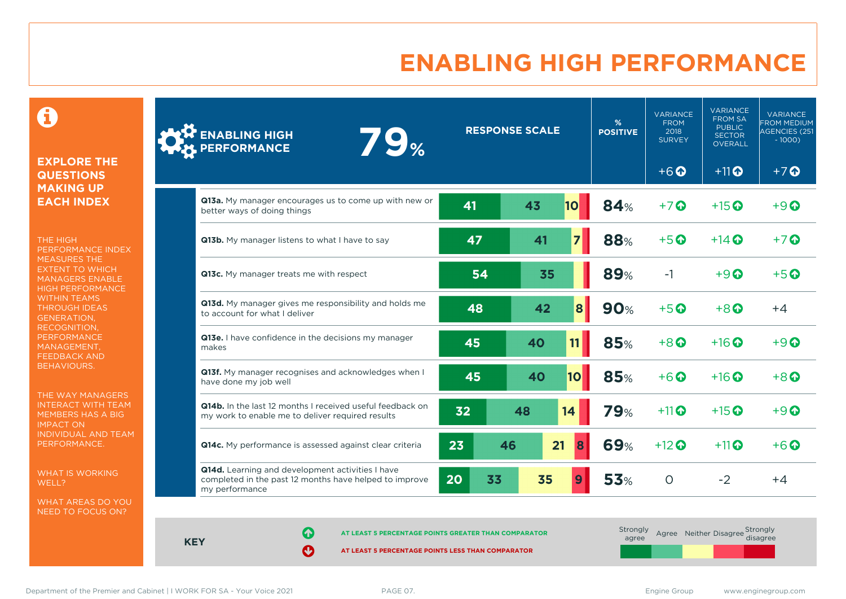# **ENABLING HIGH PERFORMANCE**

 $\mathbf \Theta$ 

### **EXPLORE THE QUESTIONS MAKING UP EACH INDEX**

THE HIGH PERFORMANCE INDEX MEASURES THE EXTENT TO WHICH MANAGERS ENABLE HIGH PERFORMANCE WITHIN TEAMS THROUGH IDEAS GENERATION, RECOGNITION, **PERFORMANCE** MANAGEMENT, FEEDBACK AND BEHAVIOURS.

THE WAY MANAGERS INTERACT WITH TEAM MEMBERS HAS A BIG IMPACT ON INDIVIDUAL AND TEAM PERFORMANCE.

WHAT IS WORKING WELL?

WHAT AREAS DO YOU NEED TO FOCUS ON?

| <b>ENABLING HIGH</b><br><b>79%</b><br>PERFORMANCE                                                                            |          | <b>RESPONSE SCALE</b> |           | %<br><b>POSITIVE</b> | <b>VARIANCE</b><br><b>FROM</b><br>2018<br><b>SURVEY</b> | <b>VARIANCE</b><br><b>FROM SA</b><br><b>PUBLIC</b><br><b>SECTOR</b><br><b>OVERALL</b> | <b>VARIANCE</b><br><b>FROM MEDIUM</b><br><b>AGENCIES (251</b><br>$-1000$ ) |
|------------------------------------------------------------------------------------------------------------------------------|----------|-----------------------|-----------|----------------------|---------------------------------------------------------|---------------------------------------------------------------------------------------|----------------------------------------------------------------------------|
|                                                                                                                              |          |                       |           |                      | $+6$ <sup><math>\odot</math></sup>                      | $+11$ <sup><math>\odot</math></sup>                                                   | $+7$ $\odot$                                                               |
| Q13a. My manager encourages us to come up with new or<br>better ways of doing things                                         | 41       | 43                    | <b>10</b> | <b>84%</b>           | $+7$ $\odot$                                            | $+15$ $\odot$                                                                         | $+9$ $\odot$                                                               |
| Q13b. My manager listens to what I have to say                                                                               | 47       | 41                    |           | <b>88%</b>           | $+5$ <sup><math>\odot</math></sup>                      | $+14$ $\odot$                                                                         | $+7$ $\odot$                                                               |
| Q13c. My manager treats me with respect                                                                                      | 54       | 35                    |           | <b>89%</b>           | $-1$                                                    | $+9$ <sup><math>\odot</math></sup>                                                    | $+5$ $\odot$                                                               |
| Q13d. My manager gives me responsibility and holds me<br>to account for what I deliver                                       | 48       | 42                    | 8         | <b>90%</b>           | $+5$ <sup><math>\odot</math></sup>                      | $+8$ $\odot$                                                                          | $+4$                                                                       |
| Q13e. I have confidence in the decisions my manager<br>makes                                                                 | 45       | 40                    | 11        | <b>85%</b>           | $+8$ <sup><math>\odot</math></sup>                      | $+16$ <sup>O</sup>                                                                    | $+9$                                                                       |
| Q13f. My manager recognises and acknowledges when I<br>have done my job well                                                 | 45       | 40                    | 10        | <b>85%</b>           | $+6$                                                    | $+16$ $\odot$                                                                         | $+8$ <sup><math>\odot</math></sup>                                         |
| Q14b. In the last 12 months I received useful feedback on<br>my work to enable me to deliver required results                | 32       | 48                    | 14        | <b>79%</b>           | $+11$                                                   | $+15$ $\odot$                                                                         | $+9$ $\Omega$                                                              |
| Q14c. My performance is assessed against clear criteria                                                                      | 23       | 21<br>46              | 8         | <b>69%</b>           | $+12$ <sup>O</sup>                                      | $+11$ <sup>O</sup>                                                                    | $+6$ $\odot$                                                               |
| Q14d. Learning and development activities I have<br>completed in the past 12 months have helped to improve<br>my performance | 20<br>33 | 35                    |           | <b>53%</b>           | $\circ$                                                 | $-2$                                                                                  | $+4$                                                                       |

**KEY**

**AT LEAST 5 PERCENTAGE POINTS GREATER THAN COMPARATOR** 

| Strongly<br>agree |  | Agree Neither Disagree Strongly<br>disagree |  |
|-------------------|--|---------------------------------------------|--|
|                   |  |                                             |  |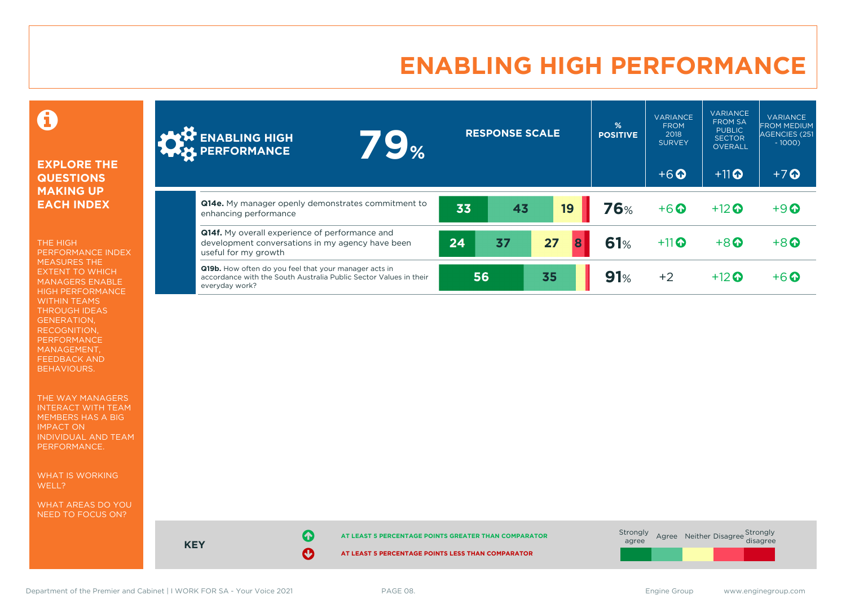# **ENABLING HIGH PERFORMANCE**

0

### **EXPLORE THE QUESTIONS MAKING UP EACH INDEX**

THE HIGH PERFORMANCE INDEX MEASURES THE EXTENT TO WHICH MANAGERS ENABLE HIGH PERFORMANCE WITHIN TEAMS THROUGH IDEAS GENERATION, RECOGNITION, PERFORMANCE MANAGEMENT, FEEDBACK AND BEHAVIOURS.

THE WAY MANAGERS INTERACT WITH TEAM MEMBERS HAS A BIG IMPACT ON INDIVIDUAL AND TEAM PERFORMANCE.

WHAT IS WORKING WELL?

WHAT AREAS DO YOU NEED TO FOCUS ON?

| <b>AND ENABLING HIGH</b>                                                                                                                            | <b>79</b> % |    | <b>RESPONSE SCALE</b> |         | $\frac{9}{6}$<br><b>POSITIVE</b> | <b>VARIANCE</b><br><b>FROM</b><br>2018<br><b>SURVEY</b> | <b>VARIANCE</b><br><b>FROM SA</b><br><b>PUBLIC</b><br><b>SECTOR</b><br><b>OVERALL</b> | <b>VARIANCE</b><br><b>FROM MEDIUM</b><br>AGENCIES (251<br>$-1000$ |
|-----------------------------------------------------------------------------------------------------------------------------------------------------|-------------|----|-----------------------|---------|----------------------------------|---------------------------------------------------------|---------------------------------------------------------------------------------------|-------------------------------------------------------------------|
|                                                                                                                                                     |             |    |                       |         |                                  | $+6$ $\odot$                                            | $+11$ <sup><math>\odot</math></sup>                                                   | $+7$ <sup>O</sup>                                                 |
| Q14e. My manager openly demonstrates commitment to<br>enhancing performance                                                                         |             | 33 | 43                    | 19      | <b>76%</b>                       | $+6$ $\odot$                                            | $+12$ $\odot$                                                                         | $+9$ <sup><math>\odot</math></sup>                                |
| <b>Q14f.</b> My overall experience of performance and<br>development conversations in my agency have been<br>useful for my growth                   |             | 24 | 37                    | 27<br>8 | 61%                              | $+11$                                                   | $+8$ <sup><math>\odot</math></sup>                                                    | $+8$ <sup><math>\odot</math></sup>                                |
| <b>Q19b.</b> How often do you feel that your manager acts in<br>accordance with the South Australia Public Sector Values in their<br>everyday work? |             | 56 |                       | 35      | 91%                              | $+2$                                                    | $+12$ $\odot$                                                                         | $+6$ $\odot$                                                      |



Department of the Premier and Cabinet | I WORK FOR SA - Your Voice 2021 PAGE 08. Engine Group Engine Group www.enginegroup.com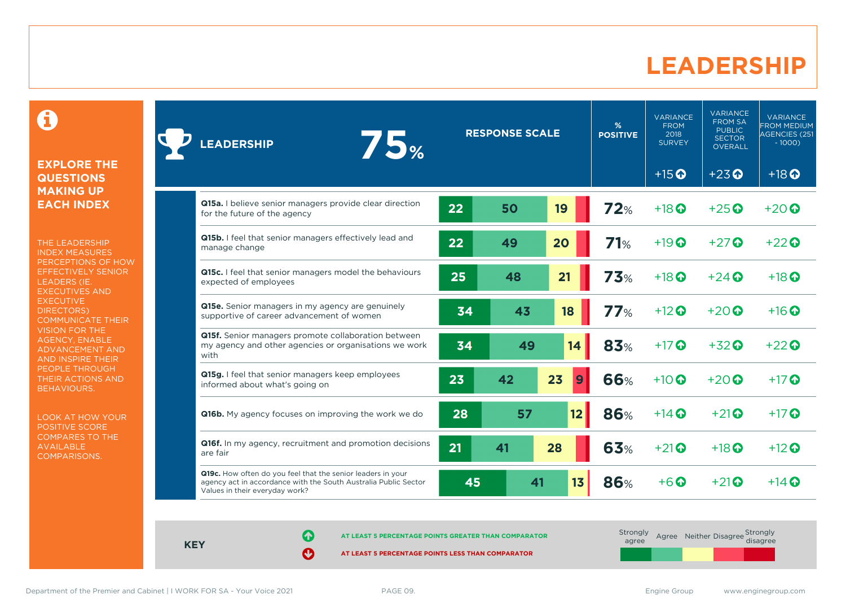### **LEADERSHIP**

0

#### **EXPLORE THE QUESTIONS MAKING UP EACH INDEX**

THE LEADERSHIP INDEX MEASURES PERCEPTIONS OF HOW EFFECTIVELY SENIOR LEADERS (IE. EXECUTIVES AND **EXECUTIVE** DIRECTORS) COMMUNICATE THEIR VISION FOR THE AGENCY, ENABLE ADVANCEMENT AND AND INSPIRE THEIR PEOPLE THROUGH THEIR ACTIONS AND BEHAVIOURS.

LOOK AT HOW YOUR POSITIVE SCORE COMPARES TO THE AVAILABLE COMPARISONS.

| <b>75%</b><br>LEADERSHIP                                                                                                                                         |    | <b>RESPONSE SCALE</b> |         | %<br><b>POSITIVE</b> | <b>VARIANCE</b><br><b>FROM</b><br>2018<br><b>SURVEY</b> | <b>VARIANCE</b><br><b>FROM SA</b><br><b>PUBLIC</b><br><b>SECTOR</b><br><b>OVERALL</b> | <b>VARIANCE</b><br><b>FROM MEDIUM</b><br>AGENCIES (251<br>$-1000$ |
|------------------------------------------------------------------------------------------------------------------------------------------------------------------|----|-----------------------|---------|----------------------|---------------------------------------------------------|---------------------------------------------------------------------------------------|-------------------------------------------------------------------|
|                                                                                                                                                                  |    |                       |         |                      | $+15$ <sup>O</sup>                                      | $+23$ <sup>O</sup>                                                                    | $+18$ <sup>O</sup>                                                |
| Q15a. I believe senior managers provide clear direction<br>for the future of the agency                                                                          | 22 | 50                    | 19      | 72%                  | $+18$ <sup>O</sup>                                      | $+25$ <sup><math>\odot</math></sup>                                                   | $+20$ $\odot$                                                     |
| Q15b. I feel that senior managers effectively lead and<br>manage change                                                                                          | 22 | 49                    | 20      | 71%                  | $+19$ $\odot$                                           | $+27$                                                                                 | $+22$                                                             |
| Q15c. I feel that senior managers model the behaviours<br>expected of employees                                                                                  | 25 | 48                    | 21      | 73%                  | $+18$ $\odot$                                           | $+24$ $\odot$                                                                         | $+18$ $\odot$                                                     |
| <b>Q15e.</b> Senior managers in my agency are genuinely<br>supportive of career advancement of women                                                             | 34 | 43                    | 18      | 77%                  | $+12$ <sup>O</sup>                                      | $+20$ $\odot$                                                                         | $+16$ $\odot$                                                     |
| Q15f. Senior managers promote collaboration between<br>my agency and other agencies or organisations we work<br>with                                             | 34 | 49                    | 14      | 83%                  | $+17$                                                   | $+32$ <sup><math>\odot</math></sup>                                                   | $+22$                                                             |
| Q15g. I feel that senior managers keep employees<br>informed about what's going on                                                                               | 23 | 42                    | 23<br>9 | <b>66%</b>           | $+10$ $\odot$                                           | $+20$ $\odot$                                                                         | $+17$ $\odot$                                                     |
| <b>Q16b.</b> My agency focuses on improving the work we do                                                                                                       | 28 | 57                    | 12      | 86%                  | $+14$ $\odot$                                           | $+21$                                                                                 | $+17$ $\odot$                                                     |
| Q16f. In my agency, recruitment and promotion decisions<br>are fair                                                                                              | 21 | 41                    | 28      | 63%                  | $+21$                                                   | $+18$ <sup>O</sup>                                                                    | $+12$ $\odot$                                                     |
| Q19c. How often do you feel that the senior leaders in your<br>agency act in accordance with the South Australia Public Sector<br>Values in their everyday work? | 45 | 41                    | 13      | <b>86%</b>           | $+6$ $\odot$                                            | $+21$ <sup><math>\odot</math></sup>                                                   | $+14$ $\odot$                                                     |

**KEY**

**AT LEAST 5 PERCENTAGE POINTS GREATER THAN COMPARATOR**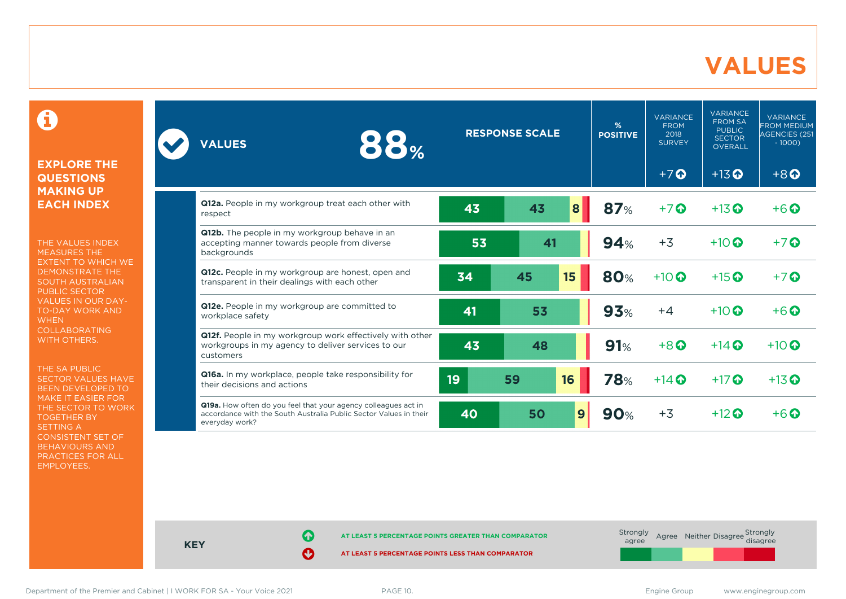### **VALUES**

0

### **EXPLORE THE QUESTIONS MAKING UP EACH INDEX**

THE VALUES INDEX MEASURES THE EXTENT TO WHICH WE DEMONSTRATE THE SOUTH AUSTRALIAN PUBLIC SECTOR VALUES IN OUR DAY-TO-DAY WORK AND **WHEN** COLLABORATING WITH OTHERS.

THE SA PUBLIC SECTOR VALUES HAVE BEEN DEVELOPED TO MAKE IT EASIER FOR THE SECTOR TO WORK TOGETHER BY SETTING A CONSISTENT SET OF BEHAVIOURS AND PRACTICES FOR ALL EMPLOYEES.

| 88%<br><b>VALUES</b>                                                                                                                                  |    | <b>RESPONSE SCALE</b> | %<br><b>POSITIVE</b> | <b>VARIANCE</b><br><b>FROM</b><br>2018<br><b>SURVEY</b> | <b>VARIANCE</b><br><b>FROM SA</b><br><b>PUBLIC</b><br><b>SECTOR</b><br><b>OVERALL</b> | <b>VARIANCE</b><br><b>FROM MEDIUM</b><br>AGENCIES (251<br>$-1000$ |
|-------------------------------------------------------------------------------------------------------------------------------------------------------|----|-----------------------|----------------------|---------------------------------------------------------|---------------------------------------------------------------------------------------|-------------------------------------------------------------------|
|                                                                                                                                                       |    |                       |                      | $+7$                                                    | $+13$ <sup>O</sup>                                                                    | $+8$ <sup><math>\odot</math></sup>                                |
| Q12a. People in my workgroup treat each other with<br>respect                                                                                         | 43 | 43<br>8               | 87%                  | $+7$                                                    | $+13$ <sup>O</sup>                                                                    | $+6\Omega$                                                        |
| Q12b. The people in my workgroup behave in an<br>accepting manner towards people from diverse<br>backgrounds                                          | 53 | 41                    | 94%                  | $+3$                                                    | $+10$ $\odot$                                                                         | $+7$ $\odot$                                                      |
| Q12c. People in my workgroup are honest, open and<br>transparent in their dealings with each other                                                    | 34 | 15<br>45              | 80%                  | $+10$ $\odot$                                           | $+15$ <sup>O</sup>                                                                    | $+7$ $\Omega$                                                     |
| Q12e. People in my workgroup are committed to<br>workplace safety                                                                                     | 41 | 53                    | 93%                  | $+4$                                                    | $+10$ $\odot$                                                                         | $+6$ $\odot$                                                      |
| Q12f. People in my workgroup work effectively with other<br>workgroups in my agency to deliver services to our<br>customers                           | 43 | 48                    | 91%                  | $+8$ <sup><math>\odot</math></sup>                      | $+14$ $\odot$                                                                         | $+10$ <sup>O</sup>                                                |
| Q16a. In my workplace, people take responsibility for<br>their decisions and actions                                                                  | 19 | 59<br>16              | <b>78%</b>           | $+14$                                                   | $+17$ $\odot$                                                                         | $+13$ <sup>O</sup>                                                |
| Q19a. How often do you feel that your agency colleagues act in<br>accordance with the South Australia Public Sector Values in their<br>everyday work? | 40 | 50                    | 9<br>90%             | $+3$                                                    | $+12$ $\odot$                                                                         | $+6$ $\Omega$                                                     |

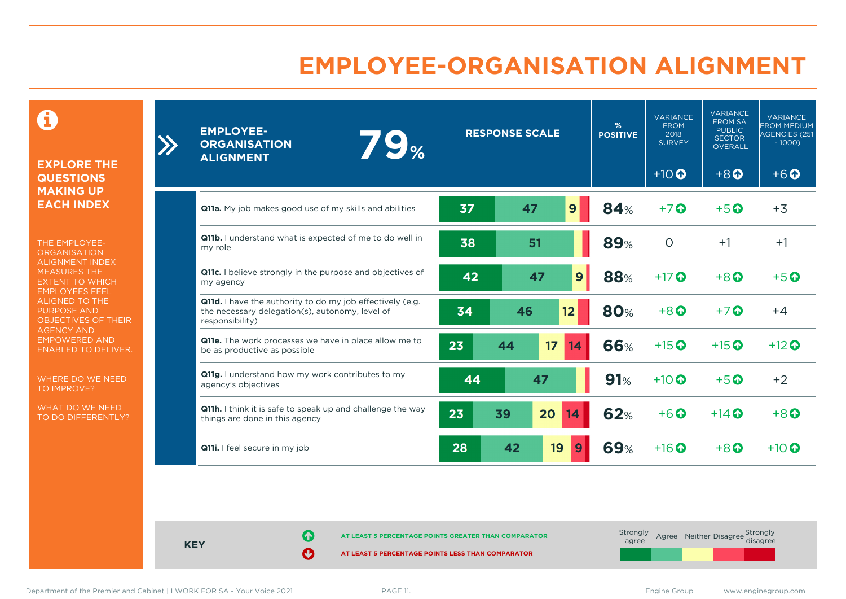# **EMPLOYEE-ORGANISATION ALIGNMENT**

0

**EXPLORE THE QUESTIONS MAKING UP EACH INDEX**

THE EMPLOYEE-**ORGANISATION** ALIGNMENT INDEX MEASURES THE EXTENT TO WHICH EMPLOYEES FEEL ALIGNED TO THE PURPOSE AND OBJECTIVES OF THEIR AGENCY AND EMPOWERED AND ENABLED TO DELIVER.

WHERE DO WE NEED TO IMPROVE?

WHAT DO WE NEED TO DO DIFFERENTLY?

| <b>EMPLOYEE-</b><br>79%<br><b>ORGANISATION</b><br><b>ALIGNMENT</b>                                                                     | <b>RESPONSE SCALE</b> |          | %<br><b>POSITIVE</b> | <b>VARIANCE</b><br><b>FROM</b><br>2018<br><b>SURVEY</b> | <b>VARIANCE</b><br><b>FROM SA</b><br><b>PUBLIC</b><br><b>SECTOR</b><br><b>OVERALL</b> | <b>VARIANCE</b><br><b>FROM MEDIUM</b><br>AGENCIES (251<br>$-1000$ |                                    |
|----------------------------------------------------------------------------------------------------------------------------------------|-----------------------|----------|----------------------|---------------------------------------------------------|---------------------------------------------------------------------------------------|-------------------------------------------------------------------|------------------------------------|
|                                                                                                                                        |                       |          |                      |                                                         | $+10$ <sup>O</sup>                                                                    | $+8$ <sup><math>\odot</math></sup>                                | $+6$ <sup><math>\odot</math></sup> |
| <b>Q11a.</b> My job makes good use of my skills and abilities                                                                          | 37                    | 47       | 9                    | 84%                                                     | $+7$                                                                                  | $+5$ <sup>O</sup>                                                 | $+3$                               |
| Q11b. I understand what is expected of me to do well in<br>my role                                                                     | 38                    | 51       |                      | <b>89%</b>                                              | $\circ$                                                                               | $+1$                                                              | $+1$                               |
| Q11c. I believe strongly in the purpose and objectives of<br>my agency                                                                 | 42                    | 47       | 9                    | <b>88%</b>                                              | $+17$ $\odot$                                                                         | $+8$ $\odot$                                                      | $+5$ $\odot$                       |
| <b>Q11d.</b> I have the authority to do my job effectively (e.g.<br>the necessary delegation(s), autonomy, level of<br>responsibility) | 34                    | 46       | 12                   | <b>80%</b>                                              | $+8$ <sup><math>\odot</math></sup>                                                    | $+7$ $\odot$                                                      | $+4$                               |
| Q11e. The work processes we have in place allow me to<br>be as productive as possible                                                  | 23                    | 17<br>44 | 14                   | 66%                                                     | $+15$ <sup>O</sup>                                                                    | $+15$ $\odot$                                                     | $+12$ $\odot$                      |
| Q11g. I understand how my work contributes to my<br>agency's objectives                                                                | 44                    | 47       |                      | 91%                                                     | $+10$ <sup>O</sup>                                                                    | $+5$ <sup>O</sup>                                                 | $+2$                               |
| <b>Q11h.</b> I think it is safe to speak up and challenge the way<br>things are done in this agency                                    | 23                    | 39<br>20 | 14                   | <b>62%</b>                                              | $+6$ $\odot$                                                                          | $+14$ $\odot$                                                     | $+8$ $\odot$                       |
| Q11i. I feel secure in my job                                                                                                          | 28                    | 42       | 19<br>9              | <b>69%</b>                                              | $+16$ $\odot$                                                                         | $+8$ $\odot$                                                      | $+10$ $\odot$                      |

**KEY**

**AT LEAST 5 PERCENTAGE POINTS GREATER THAN COMPARATOR** 

**AT LEAST 5 PERCENTAGE POINTS LESS THAN COMPARATOR** 

 $\sum$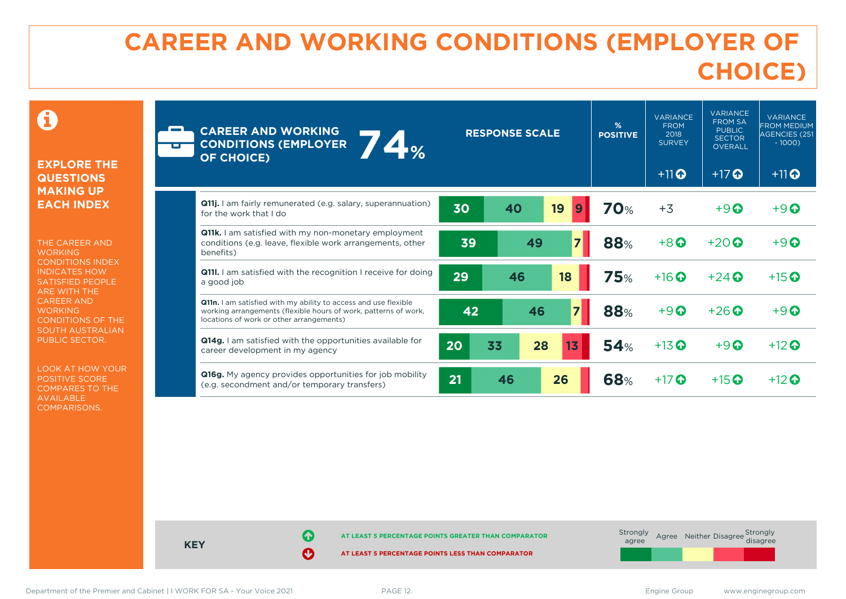# **CAREER AND WORKING CONDITIONS (EMPLOYER OF CHOICE)**

0

### **EXPLORE THE QUESTIONS MAKING UP EACH INDEX**

THE CAREER AND **WORKING** CONDITIONS INDEX INDICATES HOW SATISFIED PEOPLE ARE WITH THE CAREER AND **WORKING** CONDITIONS OF THE SOUTH AUSTRALIAN PUBLIC SECTOR.

LOOK AT HOW YOUR POSITIVE SCORE COMPARES TO THE AVAILABLE COMPARISONS.

| <b>CAREER AND WORKING</b><br><b>74%</b><br><b>CONDITIONS (EMPLOYER</b><br><b>OF CHOICE)</b>                                                                                    | <b>RESPONSE SCALE</b>      | %<br><b>POSITIVE</b> | <b>VARIANCE</b><br><b>FROM</b><br>2018<br><b>SURVEY</b> | <b>VARIANCE</b><br><b>FROM SA</b><br><b>PUBLIC</b><br><b>SECTOR</b><br><b>OVERALL</b> | <b>VARIANCE</b><br><b>FROM MEDIUM</b><br><b>AGENCIES (251</b><br>$-1000$ |
|--------------------------------------------------------------------------------------------------------------------------------------------------------------------------------|----------------------------|----------------------|---------------------------------------------------------|---------------------------------------------------------------------------------------|--------------------------------------------------------------------------|
|                                                                                                                                                                                |                            |                      | $+11$ <sup>O</sup>                                      | $+17$ $\odot$                                                                         | $+11$ <sup>O</sup>                                                       |
| <b>Q11j.</b> I am fairly remunerated (e.g. salary, superannuation)<br>for the work that I do                                                                                   | 19<br>30<br>40<br>9        | <b>70%</b>           | $+3$                                                    | $+9$ $\odot$                                                                          | $+9$ $\Omega$                                                            |
| <b>Q11k.</b> I am satisfied with my non-monetary employment<br>conditions (e.g. leave, flexible work arrangements, other<br>benefits)                                          | $\overline{z}$<br>49<br>39 | <b>88%</b>           | $+8$                                                    | $+20$ $\odot$                                                                         | $+9$ $\odot$                                                             |
| <b>Q11I.</b> I am satisfied with the recognition I receive for doing<br>a good job                                                                                             | 29<br>46<br>18             | <b>75%</b>           | $+16$ $\odot$                                           | $+24$ $\odot$                                                                         | $+15$ <sup>O</sup>                                                       |
| Q11n. I am satisfied with my ability to access and use flexible<br>working arrangements (flexible hours of work, patterns of work,<br>locations of work or other arrangements) | 42<br>46                   | <b>88%</b>           | $+9$ $\odot$                                            | $+26$ $\odot$                                                                         | $+9$ $\Omega$                                                            |
| <b>Q14g.</b> I am satisfied with the opportunities available for<br>career development in my agency                                                                            | 20<br>33<br>28<br>13       | 54%                  | $+13$ <sup>O</sup>                                      | $+9$ $\odot$                                                                          | $+12$ $\odot$                                                            |
| Q16g. My agency provides opportunities for job mobility<br>(e.g. secondment and/or temporary transfers)                                                                        | 21<br>26<br>46             | <b>68%</b>           | $+17$ $\odot$                                           | $+15$ <sup>O</sup>                                                                    | $+12$ $\odot$                                                            |



Department of the Premier and Cabinet | I WORK FOR SA - Your Voice 2021 PAGE 12. Engine Group www.enginegroup.com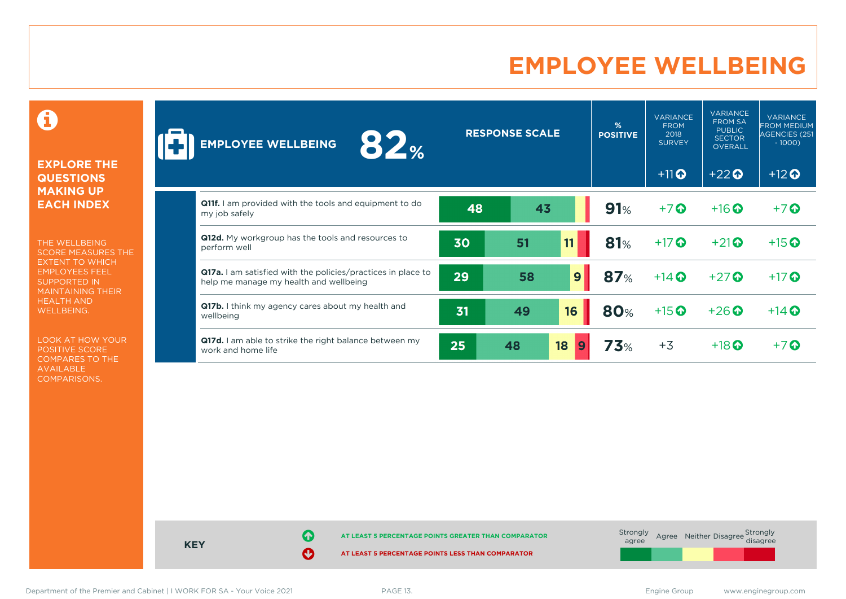# **EMPLOYEE WELLBEING**

0

### **EXPLORE THE QUESTIONS MAKING UP EACH INDEX**

THE WELLBEING SCORE MEASURES THE EXTENT TO WHICH EMPLOYEES FEEL SUPPORTED IN MAINTAINING THEIR HEALTH AND WELLBEING.

LOOK AT HOW YOUR POSITIVE SCORE COMPARES TO THE AVAILABLE COMPARISONS.

| 82 <sub>%</sub><br><b>EMPLOYEE WELLBEING</b>                                                                  |    | <b>RESPONSE SCALE</b> |              | %<br><b>POSITIVE</b> | <b>VARIANCE</b><br><b>FROM</b><br>2018<br><b>SURVEY</b> | <b>VARIANCE</b><br><b>FROM SA</b><br><b>PUBLIC</b><br><b>SECTOR</b><br><b>OVERALL</b> | <b>VARIANCE</b><br><b>FROM MEDIUM</b><br>AGENCIES (251<br>$-1000$ |
|---------------------------------------------------------------------------------------------------------------|----|-----------------------|--------------|----------------------|---------------------------------------------------------|---------------------------------------------------------------------------------------|-------------------------------------------------------------------|
|                                                                                                               |    |                       |              |                      | $+11$ <sup>O</sup>                                      | $+22$                                                                                 | $+12$ <sup>O</sup>                                                |
| <b>Q11f.</b> I am provided with the tools and equipment to do<br>my job safely                                | 48 | 43                    |              | 91%                  | $+7$ $\odot$                                            | $+16$ <sup>O</sup>                                                                    | $+7$ $\odot$                                                      |
| Q12d. My workgroup has the tools and resources to<br>perform well                                             | 30 | 51                    | 11           | 81%                  | $+17$                                                   | $+21$                                                                                 | $+15$ <sup>O</sup>                                                |
| <b>Q17a.</b> I am satisfied with the policies/practices in place to<br>help me manage my health and wellbeing | 29 | 58                    | $\mathbf{9}$ | <b>87%</b>           | $+14$ $\odot$                                           | $+27$                                                                                 | $+17$                                                             |
| <b>Q17b.</b> I think my agency cares about my health and<br>wellbeing                                         | 31 | 49                    | 16           | <b>80%</b>           | $+15$ <sup>O</sup>                                      | $+26$                                                                                 | $+14$ $\odot$                                                     |
| Q17d. I am able to strike the right balance between my<br>work and home life                                  | 25 | 48                    | 18<br>9      | 73%                  | $+3$                                                    | $+18$ $\odot$                                                                         | $+7$ $\odot$                                                      |

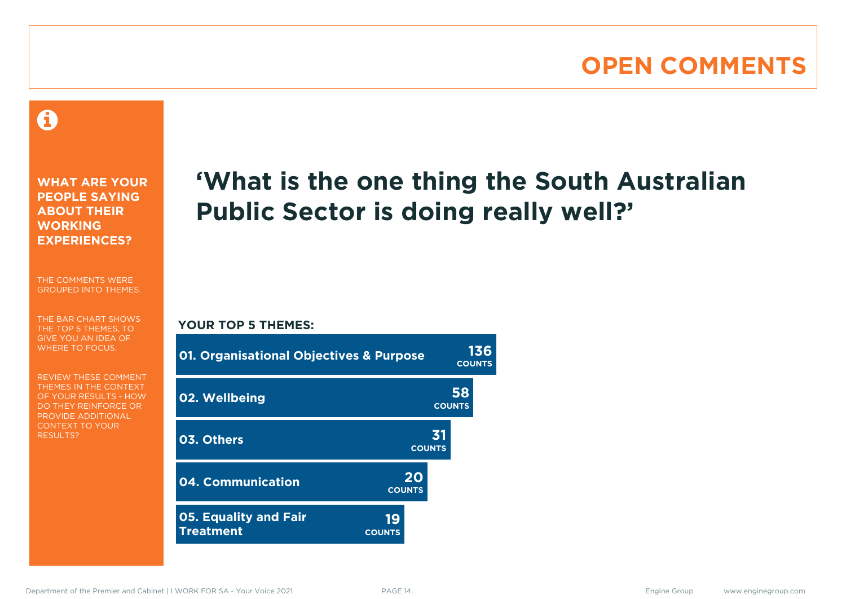# **OPEN COMMENTS**

### 0

**WHAT ARE YOUR PEOPLE SAYING ABOUT THEIR WORKING EXPERIENCES?**

THE COMMENTS WERE GROUPED INTO THEMES.

THE BAR CHART SHOWS THE TOP 5 THEMES, TO GIVE YOU AN IDEA OF WHERE TO FOCUS.

REVIEW THESE COMMENT THEMES IN THE CONTEXT OF YOUR RESULTS - HOW DO THEY REINFORCE OR PROVIDE ADDITIONAL CONTEXT TO YOUR **RESULTS?** 

# **'What is the one thing the South Australian Public Sector is doing really well?'**

### **YOUR TOP 5 THEMES:**

| <b>01. Organisational Objectives &amp; Purpose</b> |                     | <b>COUNTS</b>       | 136 |
|----------------------------------------------------|---------------------|---------------------|-----|
| 02. Wellbeing                                      |                     | 58<br><b>COUNTS</b> |     |
| 03. Others                                         | <b>COUNTS</b>       | 31                  |     |
| 04. Communication                                  | 20<br><b>COUNTS</b> |                     |     |
| <b>05. Equality and Fair</b><br><b>Treatment</b>   | 19<br><b>COUNTS</b> |                     |     |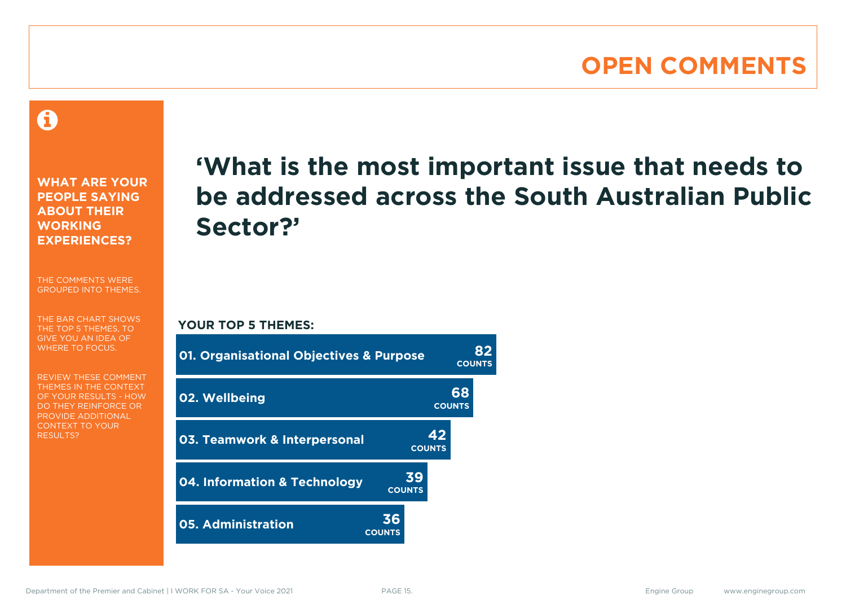# **OPEN COMMENTS**

### A

**WHAT ARE YOUR PEOPLE SAYING ABOUT THEIR WORKING EXPERIENCES?**

THE COMMENTS WERE GROUPED INTO THEMES.

THE BAR CHART SHOWS THE TOP 5 THEMES, TO GIVE YOU AN IDEA OF WHERE TO FOCUS.

REVIEW THESE COMMENT THEMES IN THE CONTEXT OF YOUR RESULTS - HOW DO THEY REINFORCE OR PROVIDE ADDITIONAL CONTEXT TO YOUR **RESULTS?** 

# **'What is the most important issue that needs to be addressed across the South Australian Public Sector?'**

**COUNTS**

**YOUR TOP 5 THEMES:**

| <b>01. Organisational Objectives &amp; Purpose</b> |                     | <b>COUNTS</b>       |                     |
|----------------------------------------------------|---------------------|---------------------|---------------------|
| 02. Wellbeing                                      |                     |                     | 68<br><b>COUNTS</b> |
| 03. Teamwork & Interpersonal                       |                     | 42<br><b>COUNTS</b> |                     |
| 04. Information & Technology                       | <b>COUNTS</b>       | 39                  |                     |
| <b>05. Administration</b>                          | 36<br><b>COUNTS</b> |                     |                     |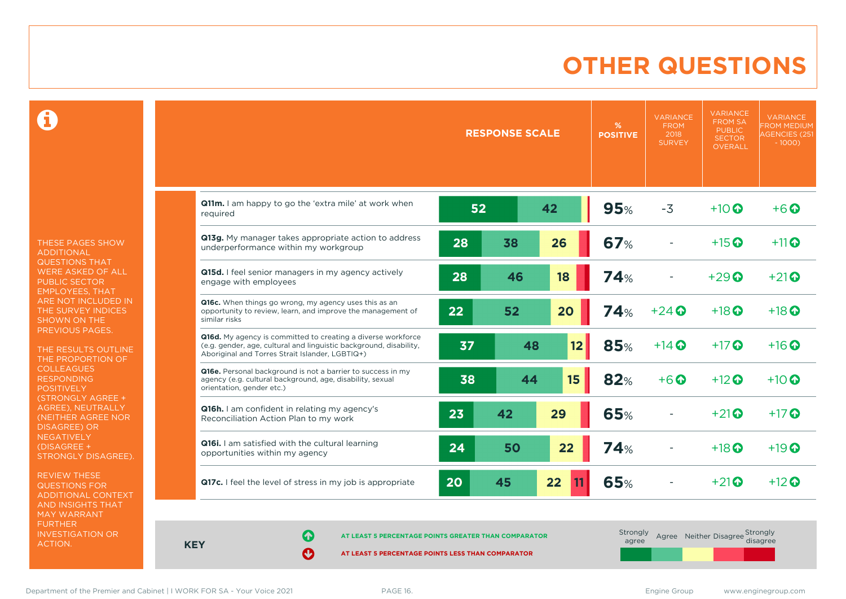# **OTHER QUESTIONS**

0

THESE PAGES SHOW ADDITIONAL QUESTIONS THAT WERE ASKED OF ALL PUBLIC SECTOR EMPLOYEES, THAT ARE NOT INCLUDED IN THE SURVEY INDICES SHOWN ON THE PREVIOUS PAGES.

THE RESULTS OUTLINE THE PROPORTION OF COLLEAGUES RESPONDING POSITIVELY (STRONGLY AGREE + AGREE), NEUTRALLY (NEITHER AGREE NOR **NEGATIVELY** (DISAGREE + STRONGLY DISAGREE).

REVIEW THESE QUESTIONS FOR ADDITIONAL CONTEXT AND INSIGHTS THAT MAY WARRANT FURTHER INVESTIGATION OR ACTION.

|                                                                                                                                                                                       |    | <b>RESPONSE SCALE</b> |          | %<br><b>POSITIVE</b> | <b>VARIANCE</b><br><b>FROM</b><br>2018<br><b>SURVEY</b> | <b>VARIANCE</b><br><b>FROM SA</b><br><b>PUBLIC</b><br><b>SECTOR</b><br>OVERALL | <b>VARIANCE</b><br><b>FROM MEDIUM</b><br><b>AGENCIES (251</b><br>$-1000$ |
|---------------------------------------------------------------------------------------------------------------------------------------------------------------------------------------|----|-----------------------|----------|----------------------|---------------------------------------------------------|--------------------------------------------------------------------------------|--------------------------------------------------------------------------|
| Q11m. I am happy to go the 'extra mile' at work when<br>required                                                                                                                      | 52 |                       | 42       | 95%                  | $-3$                                                    | $+10$ $\odot$                                                                  | $+6\Omega$                                                               |
| Q13g. My manager takes appropriate action to address<br>underperformance within my workgroup                                                                                          | 28 | 38                    | 26       | 67%                  |                                                         | $+15$ <sup><math>\odot</math></sup>                                            | $+11$                                                                    |
| Q15d. I feel senior managers in my agency actively<br>engage with employees                                                                                                           | 28 | 46                    | 18       | 74%                  |                                                         | $+29$ $\odot$                                                                  | $+21$ <sup><math>\odot</math></sup>                                      |
| Q16c. When things go wrong, my agency uses this as an<br>opportunity to review, learn, and improve the management of<br>similar risks                                                 | 22 | 52                    | 20       | 74%                  | $+24$ $\odot$                                           | $+18$ $\odot$                                                                  | $+18$ $\odot$                                                            |
| Q16d. My agency is committed to creating a diverse workforce<br>(e.g. gender, age, cultural and linguistic background, disability,<br>Aboriginal and Torres Strait Islander, LGBTIQ+) | 37 | 48                    | 12       | 85%                  | $+14$ $\odot$                                           | $+17$ $\odot$                                                                  | $+16$ $\odot$                                                            |
| Q16e. Personal background is not a barrier to success in my<br>agency (e.g. cultural background, age, disability, sexual<br>orientation, gender etc.)                                 | 38 | 44                    | 15       | 82%                  | $+6$ <sup>O</sup>                                       | $+12$ $\odot$                                                                  | $+10$ $\odot$                                                            |
| Q16h. I am confident in relating my agency's<br>Reconciliation Action Plan to my work                                                                                                 | 23 | 42                    | 29       | 65%                  |                                                         | $+21$                                                                          | $+17$ $\odot$                                                            |
| <b>Q16i.</b> I am satisfied with the cultural learning<br>opportunities within my agency                                                                                              | 24 | 50                    | 22       | 74%                  |                                                         | $+18$ $\odot$                                                                  | $+19$ $\odot$                                                            |
| Q17c. I feel the level of stress in my job is appropriate                                                                                                                             | 20 | 45                    | 22<br>11 | 65%                  |                                                         | $+21$                                                                          | $+12$ $\odot$                                                            |

**KEY**

**AT LEAST 5 PERCENTAGE POINTS GREATER THAN COMPARATOR**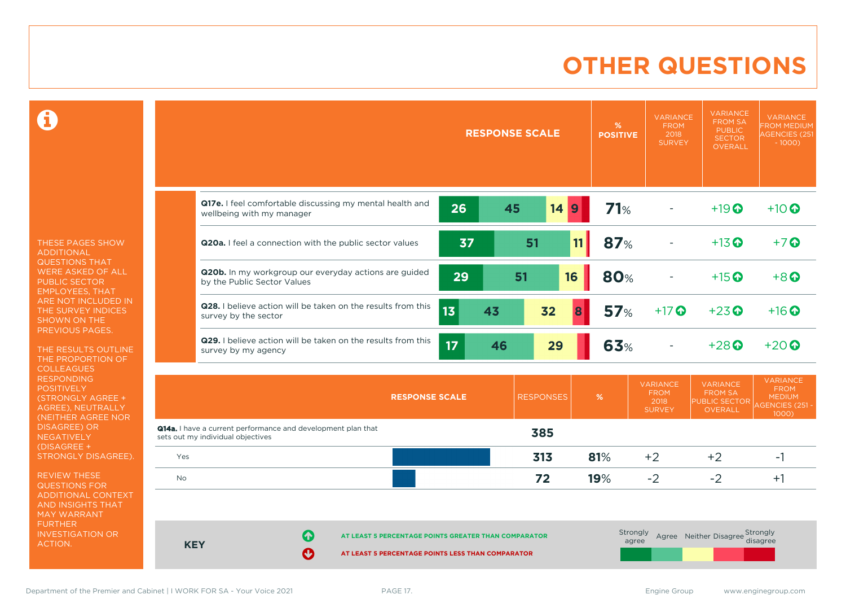# **OTHER QUESTIONS**

Ô

THESE PAGES SHOW ADDITIONAL QUESTIONS THAT WERE ASKED OF ALL PUBLIC SECTOR EMPLOYEES, THAT ARE NOT INCLUDED IN THE SURVEY INDICES SHOWN ON THE PREVIOUS PAGES.

THE RESULTS OUTLINE THE PROPORTION OF **COLLEAGUES** RESPONDING POSITIVELY (STRONGLY AGREE + AGREE), NEUTRALLY (NEITHER AGREE NOR **NEGATIVELY** (DISAGREE + STRONGLY DISAGREE).

REVIEW THESE QUESTIONS FOR ADDITIONAL CONTEXT AND INSIGHTS THAT MAY WARRANT FURTHER INVESTIGATION OR ACTION.

|     |                                                                                                   |                       |    | <b>RESPONSE SCALE</b> |                  |      | %<br><b>POSITIVE</b> | <b>VARIANCE</b><br><b>FROM</b><br>2018<br><b>SURVEY</b> | <b>VARIANCE</b><br><b>FROM SA</b><br><b>PUBLIC</b><br><b>SECTOR</b><br>OVERALL | <b>VARIANCE</b><br><b>FROM MEDIUM</b><br><b>AGENCIES (251</b><br>$-1000$           |
|-----|---------------------------------------------------------------------------------------------------|-----------------------|----|-----------------------|------------------|------|----------------------|---------------------------------------------------------|--------------------------------------------------------------------------------|------------------------------------------------------------------------------------|
|     | Q17e. I feel comfortable discussing my mental health and<br>wellbeing with my manager             |                       | 26 | 45                    | 14               | 9    | 71%                  |                                                         | $+19$ <sup>O</sup>                                                             | $+10$ $\odot$                                                                      |
|     | Q20a. I feel a connection with the public sector values                                           |                       | 37 |                       | 51               | 11   | 87%                  |                                                         | $+13$ <sup>O</sup>                                                             | $+7$ <sup>O</sup>                                                                  |
|     | Q20b. In my workgroup our everyday actions are guided<br>by the Public Sector Values              |                       | 29 | 51                    |                  | 16   | 80%                  |                                                         | $+15$ <sup>O</sup>                                                             | $+8$ <sup><math>\odot</math></sup>                                                 |
|     | Q28. I believe action will be taken on the results from this<br>survey by the sector              |                       | 13 | 43                    | 32               | 8    | 57%                  | $+17$ $\odot$                                           | $+23$ <sup>O</sup>                                                             | $+16$ <sup><math>\odot</math></sup>                                                |
|     | Q29. I believe action will be taken on the results from this<br>survey by my agency               |                       | 17 | 46                    | 29               |      | 63%                  |                                                         | $+28$                                                                          | $+20$                                                                              |
|     |                                                                                                   | <b>RESPONSE SCALE</b> |    |                       | <b>RESPONSES</b> | $\%$ |                      | <b>VARIANCE</b><br><b>FROM</b><br>2018<br><b>SURVEY</b> | <b>VARIANCE</b><br><b>FROM SA</b><br><b>PUBLIC SECTOR</b><br><b>OVERALL</b>    | <b>VARIANCE</b><br><b>FROM</b><br><b>MEDIUM</b><br><b>AGENCIES (251 -</b><br>1000) |
|     | Q14a. I have a current performance and development plan that<br>sets out my individual objectives |                       |    |                       | 385              |      |                      |                                                         |                                                                                |                                                                                    |
| Yes |                                                                                                   |                       |    |                       | 313              | 81%  |                      | $+2$                                                    | $+2$                                                                           | $-1$                                                                               |
| No  |                                                                                                   |                       |    |                       | 72               | 19%  |                      | $-2$                                                    | $-2$                                                                           | $+1$                                                                               |

**AT LEAST 5 PERCENTAGE POINTS GREATER THAN COMPARATOR** 

**AT LEAST 5 PERCENTAGE POINTS LESS THAN COMPARATOR** 

 $\sim$ 

 $\sim$ 

**KEY**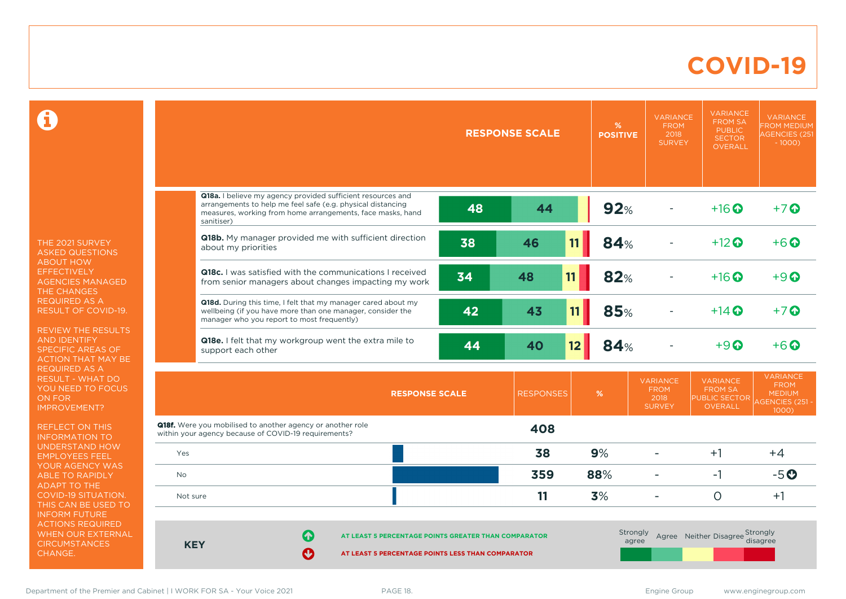### **COVID-19**

 $\mathbf \Omega$ 

THE 2021 SURVEY ASKED QUESTIONS ABOUT HOW **EFFECTIVELY** AGENCIES MANAGED THE CHANGES REQUIRED AS A RESULT OF COVID-19.

REVIEW THE RESULTS AND IDENTIFY SPECIFIC AREAS OF ACTION THAT MAY BE REQUIRED AS A RESULT - WHAT DO YOU NEED TO FOCUS ON FOR IMPROVEMENT?

REFLECT ON THIS INFORMATION TO UNDERSTAND HOW EMPLOYEES FEEL YOUR AGENCY WAS ABLE TO RAPIDLY ADAPT TO THE COVID-19 SITUATION. THIS CAN BE USED TO INFORM FUTURE ACTIONS REQUIRED WHEN OUR EXTERNAL **CIRCUMSTANCES** CHANGE.

|                                                                                                                                                                                                       |                                                                                                                                                                                                        | <b>RESPONSE SCALE</b><br><b>POSITIVE</b> |                  |                  | <b>VARIANCE</b><br><b>FROM</b><br>2018<br><b>SURVEY</b> | <b>VARIANCE</b><br><b>FROM SA</b><br><b>PUBLIC</b><br><b>SECTOR</b><br>OVERALL | <b>VARIANCE</b><br><b>FROM MEDIUM</b><br><b>AGENCIES (251</b><br>$-1000$           |
|-------------------------------------------------------------------------------------------------------------------------------------------------------------------------------------------------------|--------------------------------------------------------------------------------------------------------------------------------------------------------------------------------------------------------|------------------------------------------|------------------|------------------|---------------------------------------------------------|--------------------------------------------------------------------------------|------------------------------------------------------------------------------------|
|                                                                                                                                                                                                       |                                                                                                                                                                                                        |                                          |                  |                  |                                                         |                                                                                |                                                                                    |
|                                                                                                                                                                                                       | Q18a. I believe my agency provided sufficient resources and<br>arrangements to help me feel safe (e.g. physical distancing<br>measures, working from home arrangements, face masks, hand<br>sanitiser) | 48                                       | 44               | 92%              |                                                         | $+16$ $\odot$                                                                  | $+7$                                                                               |
|                                                                                                                                                                                                       | Q18b. My manager provided me with sufficient direction<br>about my priorities                                                                                                                          | 38                                       | 46               | <b>84%</b><br>11 |                                                         | $+12$ <sup>O</sup>                                                             | $+6$ $\odot$                                                                       |
|                                                                                                                                                                                                       | <b>Q18c.</b> I was satisfied with the communications I received<br>from senior managers about changes impacting my work                                                                                | 34                                       | 11<br>48         | 82%              |                                                         | $+16$ <sup>O</sup>                                                             | $+9$ <sup><math>\odot</math></sup>                                                 |
|                                                                                                                                                                                                       | Q18d. During this time, I felt that my manager cared about my<br>wellbeing (if you have more than one manager, consider the<br>manager who you report to most frequently)                              | 42                                       | 43               | 85%<br>11        |                                                         | $+14$ $\odot$                                                                  | $+7$ $\odot$                                                                       |
|                                                                                                                                                                                                       | Q18e. I felt that my workgroup went the extra mile to<br>support each other                                                                                                                            | 44                                       | 40               | 84%<br>12        |                                                         | $+9$ $\odot$                                                                   | $+6$ $\odot$                                                                       |
|                                                                                                                                                                                                       |                                                                                                                                                                                                        | <b>RESPONSE SCALE</b>                    | <b>RESPONSES</b> | $\%$             | <b>VARIANCE</b><br><b>FROM</b><br>2018<br><b>SURVEY</b> | <b>VARIANCE</b><br><b>FROM SA</b><br>PUBLIC SECTOR<br><b>OVERALL</b>           | <b>VARIANCE</b><br><b>FROM</b><br><b>MEDIUM</b><br><b>AGENCIES (251 -</b><br>1000) |
|                                                                                                                                                                                                       | <b>Q18f.</b> Were you mobilised to another agency or another role<br>within your agency because of COVID-19 requirements?                                                                              |                                          | 408              |                  |                                                         |                                                                                |                                                                                    |
| Yes                                                                                                                                                                                                   |                                                                                                                                                                                                        |                                          | 38               | 9%               |                                                         | $+1$                                                                           | $+4$                                                                               |
| <b>No</b>                                                                                                                                                                                             |                                                                                                                                                                                                        |                                          | 359              | 88%              | $\blacksquare$                                          | $-1$                                                                           | $-5o$                                                                              |
| Not sure                                                                                                                                                                                              |                                                                                                                                                                                                        |                                          | 11               | 3%               | $\overline{a}$                                          | $\circ$                                                                        | $+1$                                                                               |
| Strongly<br>Agree Neither Disagree Strongly<br>Q<br>AT LEAST 5 PERCENTAGE POINTS GREATER THAN COMPARATOR<br>disagree<br>agree<br><b>KEY</b><br>Ø<br>AT LEAST 5 PERCENTAGE POINTS LESS THAN COMPARATOR |                                                                                                                                                                                                        |                                          |                  |                  |                                                         |                                                                                |                                                                                    |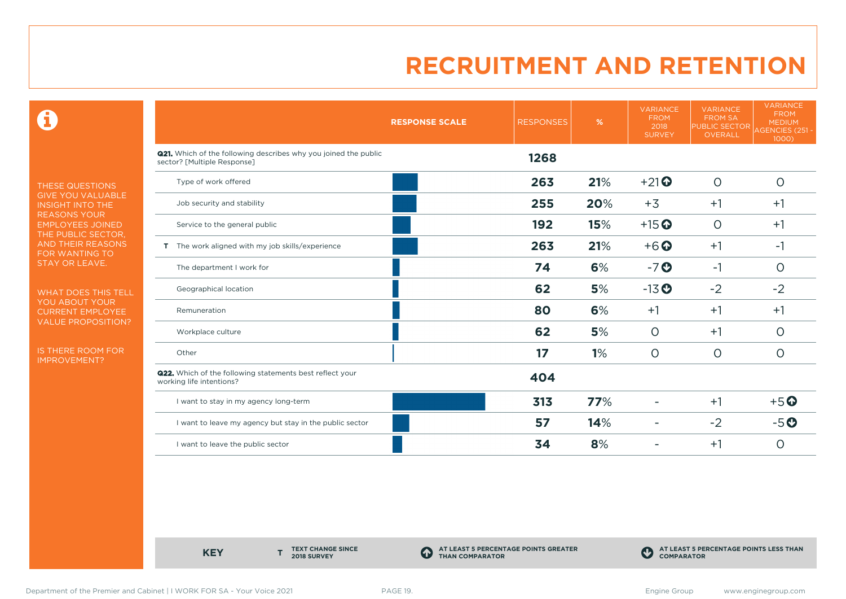0

THESE QUESTIONS GIVE YOU VALUABLE INSIGHT INTO THE REASONS YOUR EMPLOYEES JOINED THE PUBLIC SECTOR, AND THEIR REASONS FOR WANTING TO STAY OR LEAVE.

WHAT DOES THIS TELL YOU ABOUT YOUR CURRENT EMPLOYEE VALUE PROPOSITION?

IS THERE ROOM FOR IMPROVEMENT?

|                                                                                                       | <b>RESPONSE SCALE</b> | <b>RESPONSES</b> | %   | <b>VARIANCE</b><br><b>FROM</b><br>2018<br><b>SURVEY</b> | <b>VARIANCE</b><br><b>FROM SA</b><br><b>PUBLIC SECTOR</b><br>OVERALL | <b>VARIANCE</b><br><b>FROM</b><br><b>MEDIUM</b><br><b>AGENCIES (251 -</b><br>$1000$ ) |
|-------------------------------------------------------------------------------------------------------|-----------------------|------------------|-----|---------------------------------------------------------|----------------------------------------------------------------------|---------------------------------------------------------------------------------------|
| <b>Q21.</b> Which of the following describes why you joined the public<br>sector? [Multiple Response] |                       | 1268             |     |                                                         |                                                                      |                                                                                       |
| Type of work offered                                                                                  |                       | 263              | 21% | $+21$                                                   | $\circ$                                                              | $\circ$                                                                               |
| Job security and stability                                                                            |                       | 255              | 20% | $+3$                                                    | $+1$                                                                 | $+1$                                                                                  |
| Service to the general public                                                                         |                       | 192              | 15% | $+15$ <sup>O</sup>                                      | $\circ$                                                              | $+1$                                                                                  |
| T The work aligned with my job skills/experience                                                      |                       | 263              | 21% | $+6$ <sup>O</sup>                                       | $+1$                                                                 | $-1$                                                                                  |
| The department I work for                                                                             |                       | 74               | 6%  | $-7o$                                                   | $-1$                                                                 | $\circ$                                                                               |
| Geographical location                                                                                 |                       | 62               | 5%  | $-13$ <sup>O</sup>                                      | $-2$                                                                 | $-2$                                                                                  |
| Remuneration                                                                                          |                       | 80               | 6%  | $+1$                                                    | $+1$                                                                 | $+1$                                                                                  |
| Workplace culture                                                                                     |                       | 62               | 5%  | $\circ$                                                 | $+1$                                                                 | $\circ$                                                                               |
| Other                                                                                                 |                       | 17               | 1%  | $\circ$                                                 | $\circ$                                                              | $\circ$                                                                               |
| <b>Q22.</b> Which of the following statements best reflect your<br>working life intentions?           |                       | 404              |     |                                                         |                                                                      |                                                                                       |
| I want to stay in my agency long-term                                                                 |                       | 313              | 77% |                                                         | $+1$                                                                 | $+5$ <sup>O</sup>                                                                     |
| I want to leave my agency but stay in the public sector                                               |                       | 57               | 14% |                                                         | $-2$                                                                 | $-5o$                                                                                 |
| I want to leave the public sector                                                                     |                       | 34               | 8%  |                                                         | $+1$                                                                 | $\circ$                                                                               |

**KEY** 

**TEXT CHANGE SINCE 2018 SURVEY**

**AT LEAST 5 PERCENTAGE POINTS GREATER THAN COMPARATOR**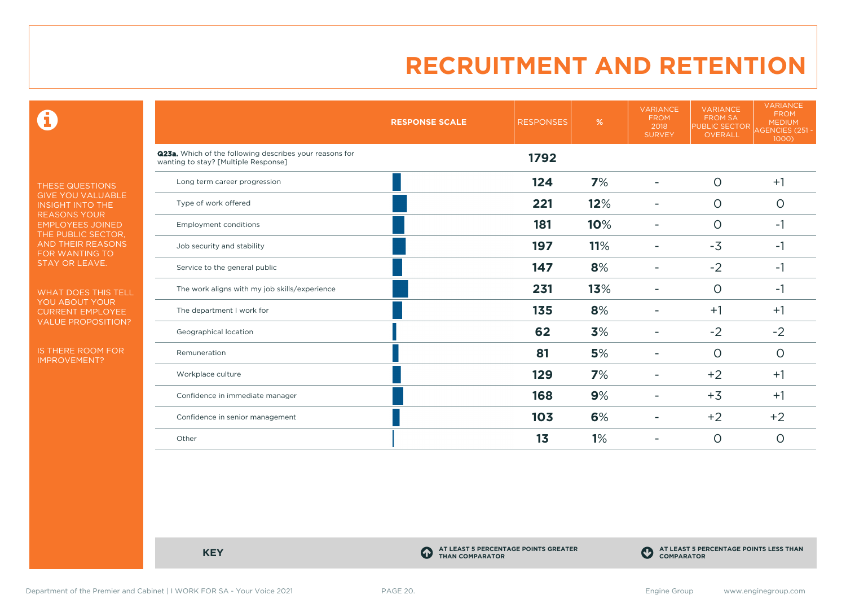$\mathbf \Theta$ 

THESE QUESTIONS GIVE YOU VALUABLE INSIGHT INTO THE REASONS YOUR EMPLOYEES JOINED THE PUBLIC SECTOR, AND THEIR REASONS FOR WANTING TO STAY OR LEAVE.

WHAT DOES THIS TELL YOU ABOUT YOUR CURRENT EMPLOYEE VALUE PROPOSITION?

IS THERE ROOM FOR IMPROVEMENT?

|                                                                                                 | <b>RESPONSE SCALE</b> | <b>RESPONSES</b> | %   | <b>VARIANCE</b><br><b>FROM</b><br>2018<br><b>SURVEY</b> | <b>VARIANCE</b><br><b>FROM SA</b><br><b>PUBLIC SECTOR</b><br>OVERALL | <b>VARIANCE</b><br><b>FROM</b><br><b>MEDIUM</b><br>AGENCIES (251 -<br>1000) |
|-------------------------------------------------------------------------------------------------|-----------------------|------------------|-----|---------------------------------------------------------|----------------------------------------------------------------------|-----------------------------------------------------------------------------|
| Q23a. Which of the following describes your reasons for<br>wanting to stay? [Multiple Response] |                       | 1792             |     |                                                         |                                                                      |                                                                             |
| Long term career progression                                                                    |                       | 124              | 7%  |                                                         | $\circ$                                                              | $+1$                                                                        |
| Type of work offered                                                                            |                       | 221              | 12% |                                                         | $\circ$                                                              | $\circ$                                                                     |
| <b>Employment conditions</b>                                                                    |                       | 181              | 10% | ۰                                                       | $\circ$                                                              | $-1$                                                                        |
| Job security and stability                                                                      |                       | 197              | 11% | ۰                                                       | $-3$                                                                 | $-1$                                                                        |
| Service to the general public                                                                   |                       | 147              | 8%  |                                                         | $-2$                                                                 | $-1$                                                                        |
| The work aligns with my job skills/experience                                                   |                       | 231              | 13% |                                                         | $\circ$                                                              | $-1$                                                                        |
| The department I work for                                                                       |                       | 135              | 8%  |                                                         | $+1$                                                                 | $+1$                                                                        |
| Geographical location                                                                           |                       | 62               | 3%  |                                                         | $-2$                                                                 | $-2$                                                                        |
| Remuneration                                                                                    |                       | 81               | 5%  |                                                         | $\Omega$                                                             | $\circ$                                                                     |
| Workplace culture                                                                               |                       | 129              | 7%  | ۰                                                       | $+2$                                                                 | $+1$                                                                        |
| Confidence in immediate manager                                                                 |                       | 168              | 9%  |                                                         | $+3$                                                                 | $+1$                                                                        |
| Confidence in senior management                                                                 |                       | 103              | 6%  |                                                         | $+2$                                                                 | $+2$                                                                        |
| Other                                                                                           |                       | 1 <sub>3</sub>   | 1%  |                                                         | $\circ$                                                              | O                                                                           |

**KEY C** 

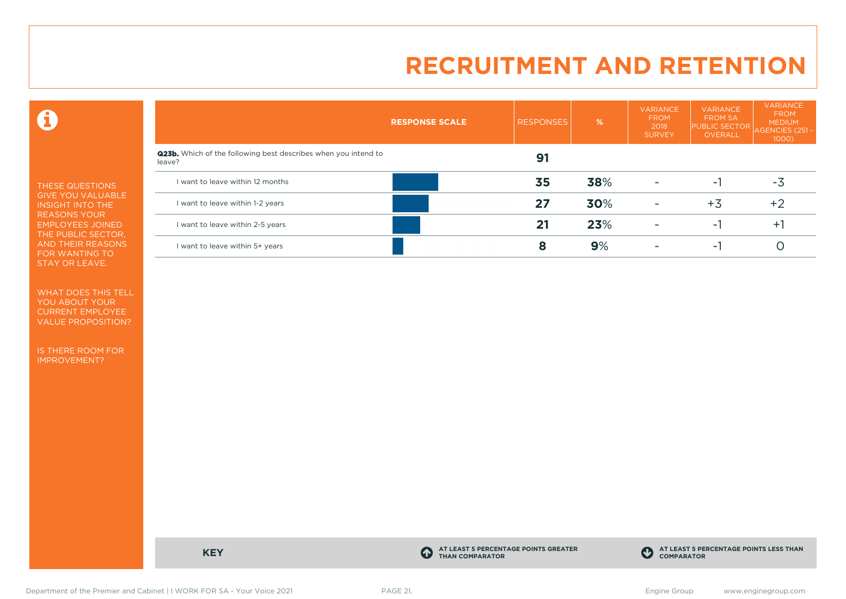$\mathbf \Theta$ 

THESE QUESTIONS GIVE YOU VALUABLE INSIGHT INTO THE REASONS YOUR EMPLOYEES JOINED THE PUBLIC SECTOR, AND THEIR REASONS FOR WANTING TO STAY OR LEAVE.

WHAT DOES THIS TELL YOU ABOUT YOUR CURRENT EMPLOYEE VALUE PROPOSITION?

IS THERE ROOM FOR IMPROVEMENT?

|                                                                                 | <b>RESPONSE SCALE</b> | <b>RESPONSES</b> | %   | <b>VARIANCE</b><br><b>FROM</b><br>2018<br><b>SURVEY</b> | <b>VARIANCE</b><br><b>FROM SA</b><br><b>PUBLIC SECTOR</b><br>OVERALL | <b>VARIANCE</b><br><b>FROM</b><br><b>MEDIUM</b><br>AGENCIES (251 -<br>1000 |
|---------------------------------------------------------------------------------|-----------------------|------------------|-----|---------------------------------------------------------|----------------------------------------------------------------------|----------------------------------------------------------------------------|
| <b>Q23b.</b> Which of the following best describes when you intend to<br>leave? |                       | 91               |     |                                                         |                                                                      |                                                                            |
| I want to leave within 12 months                                                |                       | 35               | 38% | $\overline{\phantom{a}}$                                | ۰.                                                                   | -3                                                                         |
| I want to leave within 1-2 years                                                |                       | 27               | 30% | $\overline{\phantom{a}}$                                | +3                                                                   | $+2$                                                                       |
| I want to leave within 2-5 years                                                |                       | 21               | 23% | $\overline{\phantom{0}}$                                | ۰.                                                                   | $+1$                                                                       |
| I want to leave within 5+ years                                                 |                       | 8                | 9%  | $\overline{\phantom{0}}$                                | ۰.                                                                   |                                                                            |

**KEY C** 

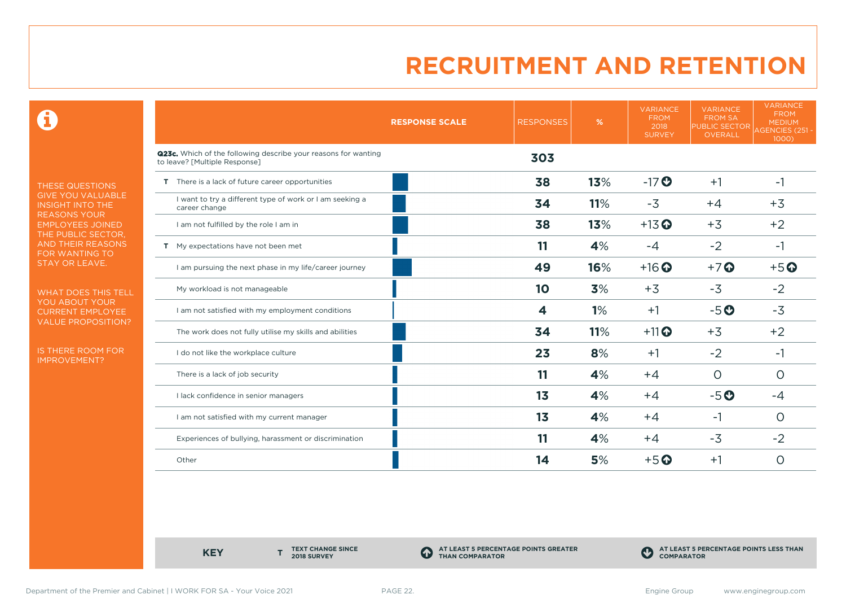0

THESE QUESTIONS GIVE YOU VALUABLE INSIGHT INTO THE REASONS YOUR EMPLOYEES JOINED THE PUBLIC SECTOR, AND THEIR REASONS FOR WANTING TO STAY OR LEAVE.

WHAT DOES THIS TELL YOU ABOUT YOUR CURRENT EMPLOYEE VALUE PROPOSITION?

IS THERE ROOM FOR IMPROVEMENT?

|                                                                                                 | <b>RESPONSE SCALE</b> | <b>RESPONSES</b> | %   | <b>VARIANCE</b><br><b>FROM</b><br>2018<br><b>SURVEY</b> | <b>VARIANCE</b><br><b>FROM SA</b><br><b>PUBLIC SECTOR</b><br>OVERALL | <b>VARIANCE</b><br><b>FROM</b><br><b>MEDIUM</b><br>AGENCIES (251 -<br>1000) |
|-------------------------------------------------------------------------------------------------|-----------------------|------------------|-----|---------------------------------------------------------|----------------------------------------------------------------------|-----------------------------------------------------------------------------|
| Q23c. Which of the following describe your reasons for wanting<br>to leave? [Multiple Response] |                       | 303              |     |                                                         |                                                                      |                                                                             |
| T There is a lack of future career opportunities                                                |                       | 38               | 13% | $-17$ <sup>O</sup>                                      | $+1$                                                                 | -1                                                                          |
| I want to try a different type of work or I am seeking a<br>career change                       |                       | 34               | 11% | $-3$                                                    | $+4$                                                                 | $+3$                                                                        |
| I am not fulfilled by the role I am in                                                          |                       | 38               | 13% | $+13$ <sup>O</sup>                                      | $+3$                                                                 | $+2$                                                                        |
| T My expectations have not been met                                                             |                       | 11               | 4%  | $-4$                                                    | $-2$                                                                 | $-1$                                                                        |
| I am pursuing the next phase in my life/career journey                                          |                       | 49               | 16% | $+16$ <sup>O</sup>                                      | $+7$                                                                 | $+5o$                                                                       |
| My workload is not manageable                                                                   |                       | 10               | 3%  | $+3$                                                    | $-3$                                                                 | $-2$                                                                        |
| I am not satisfied with my employment conditions                                                |                       | 4                | 1%  | $+1$                                                    | $-5o$                                                                | $-3$                                                                        |
| The work does not fully utilise my skills and abilities                                         |                       | 34               | 11% | $+11$ <sup>O</sup>                                      | $+3$                                                                 | $+2$                                                                        |
| I do not like the workplace culture                                                             |                       | 23               | 8%  | $+1$                                                    | $-2$                                                                 | $-1$                                                                        |
| There is a lack of job security                                                                 |                       | 11               | 4%  | $+4$                                                    | $\circ$                                                              | $\circ$                                                                     |
| I lack confidence in senior managers                                                            |                       | 1 <sub>3</sub>   | 4%  | $+4$                                                    | $-5o$                                                                | -4                                                                          |
| I am not satisfied with my current manager                                                      |                       | 1 <sub>3</sub>   | 4%  | $+4$                                                    | -1                                                                   | O                                                                           |
| Experiences of bullying, harassment or discrimination                                           |                       | 11               | 4%  | $+4$                                                    | $-3$                                                                 | $-2$                                                                        |
| Other                                                                                           |                       | 14               | 5%  | $+5$ <sup>O</sup>                                       | $+1$                                                                 | O                                                                           |

**KEY** 

**TEXT CHANGE SINCE 2018 SURVEY**

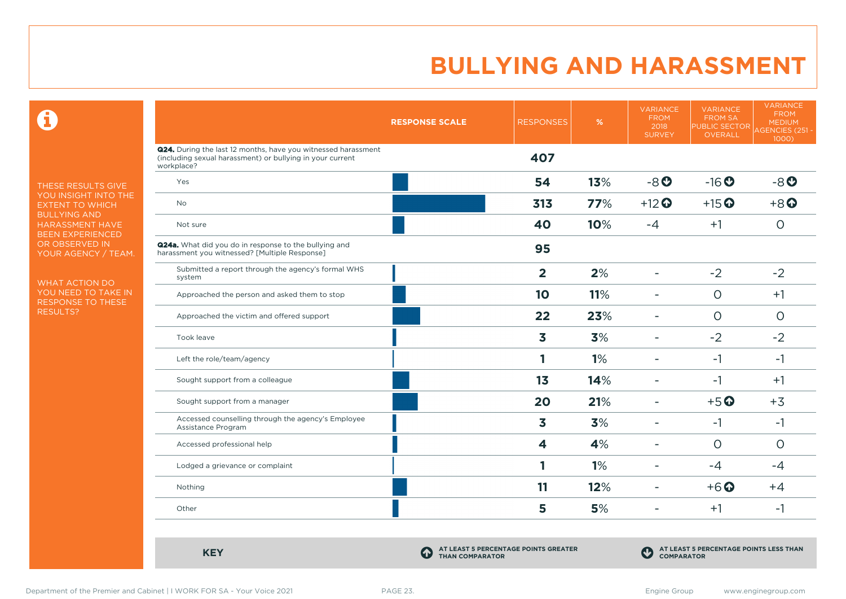$\mathbf \Omega$ 

THESE RESULTS GIVE YOU INSIGHT INTO THE EXTENT TO WHICH BULLYING AND HARASSMENT HAVE BEEN EXPERIENCED OR OBSERVED IN YOUR AGENCY / TEAM.

WHAT ACTION DO YOU NEED TO TAKE IN RESPONSE TO THESE RESULTS?

|                                                                                                                                                 | <b>RESPONSE SCALE</b> | <b>RESPONSES</b>        | $\%$ | <b>VARIANCE</b><br><b>FROM</b><br>2018<br><b>SURVEY</b> | <b>VARIANCE</b><br><b>FROM SA</b><br>PUBLIC SECTOR<br>OVERALL | <b>VARIANCE</b><br><b>FROM</b><br><b>MEDIUM</b><br><b>AGENCIES (251-</b><br>1000) |
|-------------------------------------------------------------------------------------------------------------------------------------------------|-----------------------|-------------------------|------|---------------------------------------------------------|---------------------------------------------------------------|-----------------------------------------------------------------------------------|
| <b>Q24.</b> During the last 12 months, have you witnessed harassment<br>(including sexual harassment) or bullying in your current<br>workplace? |                       | 407                     |      |                                                         |                                                               |                                                                                   |
| Yes                                                                                                                                             |                       | 54                      | 13%  | $-8o$                                                   | $-16o$                                                        | $-8o$                                                                             |
| No                                                                                                                                              |                       | 313                     | 77%  | $+12$ <sup>O</sup>                                      | $+15$ <sup>O</sup>                                            | $+8$ <sup><math>\odot</math></sup>                                                |
| Not sure                                                                                                                                        |                       | 40                      | 10%  | $-4$                                                    | $+1$                                                          | $\circ$                                                                           |
| Q24a. What did you do in response to the bullying and<br>harassment you witnessed? [Multiple Response]                                          |                       | 95                      |      |                                                         |                                                               |                                                                                   |
| Submitted a report through the agency's formal WHS<br>system                                                                                    |                       | $\overline{2}$          | 2%   | $\overline{\phantom{0}}$                                | $-2$                                                          | $-2$                                                                              |
| Approached the person and asked them to stop                                                                                                    |                       | 10                      | 11%  | ۰                                                       | $\circ$                                                       | $+1$                                                                              |
| Approached the victim and offered support                                                                                                       |                       | 22                      | 23%  | ۳                                                       | $\circ$                                                       | $\circ$                                                                           |
| Took leave                                                                                                                                      |                       | $\overline{\mathbf{3}}$ | 3%   | $\overline{\phantom{0}}$                                | $-2$                                                          | $-2$                                                                              |
| Left the role/team/agency                                                                                                                       |                       | 1                       | 1%   |                                                         | $-1$                                                          | $-1$                                                                              |
| Sought support from a colleague                                                                                                                 |                       | 13                      | 14%  | ۰                                                       | $-1$                                                          | $+1$                                                                              |
| Sought support from a manager                                                                                                                   |                       | 20                      | 21%  | ۰                                                       | $+5$ <sup>O</sup>                                             | $+3$                                                                              |
| Accessed counselling through the agency's Employee<br>Assistance Program                                                                        |                       | 3                       | 3%   | ۰                                                       | $-1$                                                          | $-1$                                                                              |
| Accessed professional help                                                                                                                      |                       | $\overline{\mathbf{4}}$ | 4%   | $\blacksquare$                                          | $\circ$                                                       | $\circ$                                                                           |
| Lodged a grievance or complaint                                                                                                                 |                       | 1                       | 1%   | $\overline{\phantom{0}}$                                | $-4$                                                          | $-4$                                                                              |
| Nothing                                                                                                                                         |                       | 11                      | 12%  | ۰                                                       | $+6$ <sup>O</sup>                                             | $+4$                                                                              |
| Other                                                                                                                                           |                       | 5                       | 5%   | ۰                                                       | $+1$                                                          | $-1$                                                                              |

**KEY C** 

**AT LEAST 5 PERCENTAGE POINTS GREATER THAN COMPARATOR**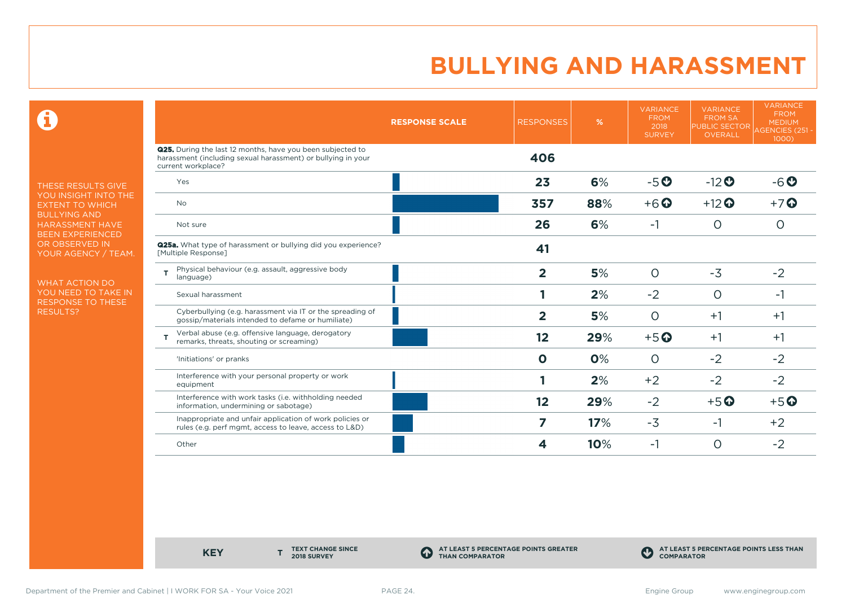$\mathbf \Theta$ 

THESE RESULTS GIVE YOU INSIGHT INTO THE EXTENT TO WHICH BULLYING AND HARASSMENT HAVE BEEN EXPERIENCED OR OBSERVED IN YOUR AGENCY / TEAM.

WHAT ACTION DO YOU NEED TO TAKE IN RESPONSE TO THESE RESULTS?

|                                                                                                                                                  | <b>RESPONSE SCALE</b> | <b>RESPONSES</b>        | %   | <b>VARIANCE</b><br><b>FROM</b><br>2018<br><b>SURVEY</b> | <b>VARIANCE</b><br><b>FROM SA</b><br><b>PUBLIC SECTOR</b><br><b>OVERALL</b> | <b>VARIANCE</b><br><b>FROM</b><br><b>MEDIUM</b><br><b>AGENCIES (251 -</b><br>1000) |
|--------------------------------------------------------------------------------------------------------------------------------------------------|-----------------------|-------------------------|-----|---------------------------------------------------------|-----------------------------------------------------------------------------|------------------------------------------------------------------------------------|
| Q25. During the last 12 months, have you been subjected to<br>harassment (including sexual harassment) or bullying in your<br>current workplace? |                       | 406                     |     |                                                         |                                                                             |                                                                                    |
| Yes                                                                                                                                              |                       | 23                      | 6%  | $-5o$                                                   | $-12$ <sup>O</sup>                                                          | $-6o$                                                                              |
| <b>No</b>                                                                                                                                        |                       | 357                     | 88% | $+6$ $\odot$                                            | $+12$ <sup>O</sup>                                                          | $+7$ $\odot$                                                                       |
| Not sure                                                                                                                                         |                       | 26                      | 6%  | $-1$                                                    | $\circ$                                                                     | $\circ$                                                                            |
| <b>Q25a.</b> What type of harassment or bullying did you experience?<br>[Multiple Response]                                                      |                       | 41                      |     |                                                         |                                                                             |                                                                                    |
| Physical behaviour (e.g. assault, aggressive body<br>T<br>language)                                                                              |                       | $\overline{2}$          | 5%  | $\circ$                                                 | $-3$                                                                        | $-2$                                                                               |
| Sexual harassment                                                                                                                                |                       |                         | 2%  | $-2$                                                    | $\circ$                                                                     | -1                                                                                 |
| Cyberbullying (e.g. harassment via IT or the spreading of<br>gossip/materials intended to defame or humiliate)                                   |                       | $\overline{2}$          | 5%  | $\circ$                                                 | $+1$                                                                        | $+1$                                                                               |
| Verbal abuse (e.g. offensive language, derogatory<br>remarks, threats, shouting or screaming)                                                    |                       | 12                      | 29% | $+5$ <sup>O</sup>                                       | $+1$                                                                        | $+1$                                                                               |
| 'Initiations' or pranks                                                                                                                          |                       | $\mathbf 0$             | 0%  | $\circ$                                                 | $-2$                                                                        | $-2$                                                                               |
| Interference with your personal property or work<br>equipment                                                                                    |                       |                         | 2%  | $+2$                                                    | $-2$                                                                        | $-2$                                                                               |
| Interference with work tasks (i.e. withholding needed<br>information, undermining or sabotage)                                                   |                       | 12                      | 29% | $-2$                                                    | $+5$ <sup>O</sup>                                                           | $+5$ <sup>O</sup>                                                                  |
| Inappropriate and unfair application of work policies or<br>rules (e.g. perf mgmt, access to leave, access to L&D)                               |                       | $\overline{\mathbf{z}}$ | 17% | $-3$                                                    | $-1$                                                                        | $+2$                                                                               |
| Other                                                                                                                                            |                       | 4                       | 10% | -1                                                      | O                                                                           | $-2$                                                                               |

**KEY** 

**TEXT CHANGE SINCE 2018 SURVEY**

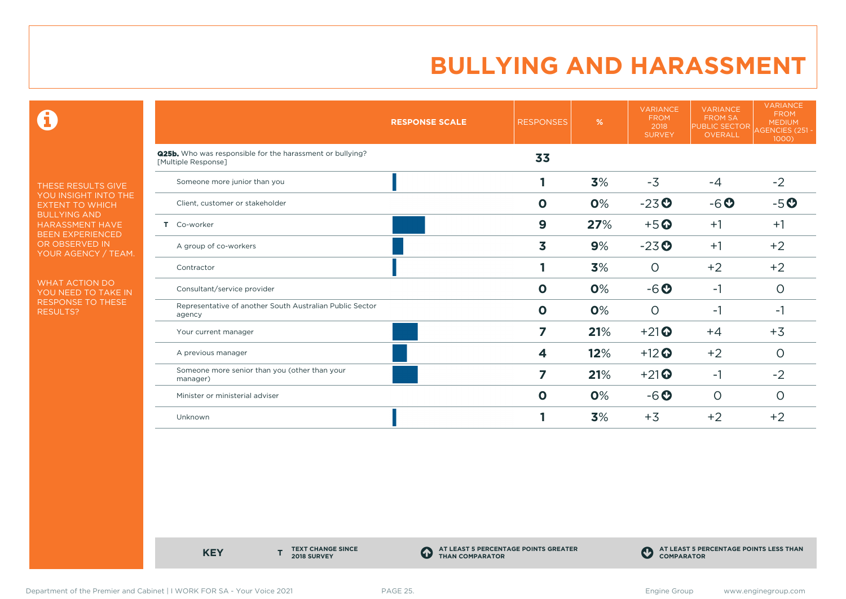$\mathbf \Theta$ 

THESE RESULTS GIVE YOU INSIGHT INTO THE EXTENT TO WHICH BULLYING AND HARASSMENT HAVE BEEN EXPERIENCED OR OBSERVED IN YOUR AGENCY / TEAM.

WHAT ACTION DO YOU NEED TO TAKE IN RESPONSE TO THESE RESULTS?

|                                                                                  | <b>RESPONSE SCALE</b> | <b>RESPONSES</b> | %   | <b>VARIANCE</b><br><b>FROM</b><br>2018<br><b>SURVEY</b> | <b>VARIANCE</b><br><b>FROM SA</b><br><b>PUBLIC SECTOR</b><br><b>OVERALL</b> | <b>VARIANCE</b><br><b>FROM</b><br><b>MEDIUM</b><br>AGENCIES (251 -<br>1000) |
|----------------------------------------------------------------------------------|-----------------------|------------------|-----|---------------------------------------------------------|-----------------------------------------------------------------------------|-----------------------------------------------------------------------------|
| Q25b. Who was responsible for the harassment or bullying?<br>[Multiple Response] |                       | 33               |     |                                                         |                                                                             |                                                                             |
| Someone more junior than you                                                     |                       |                  | 3%  | $-3$                                                    | $-4$                                                                        | $-2$                                                                        |
| Client, customer or stakeholder                                                  |                       | $\mathbf 0$      | 0%  | $-23o$                                                  | $-6o$                                                                       | $-5o$                                                                       |
| T Co-worker                                                                      |                       | $\boldsymbol{9}$ | 27% | $+5$ <sup>O</sup>                                       | $+1$                                                                        | $+1$                                                                        |
| A group of co-workers                                                            |                       | 3                | 9%  | $-23$ <sup>O</sup>                                      | $+1$                                                                        | $+2$                                                                        |
| Contractor                                                                       |                       |                  | 3%  | $\circ$                                                 | $+2$                                                                        | $+2$                                                                        |
| Consultant/service provider                                                      |                       | $\mathbf{o}$     | 0%  | $-6o$                                                   | $-1$                                                                        | $\circ$                                                                     |
| Representative of another South Australian Public Sector<br>agency               |                       | $\mathbf 0$      | 0%  | $\circ$                                                 | $-1$                                                                        | -1                                                                          |
| Your current manager                                                             |                       | 7                | 21% | $+21$ <sup><math>\odot</math></sup>                     | $+4$                                                                        | $+3$                                                                        |
| A previous manager                                                               |                       | 4                | 12% | $+12$ <sup>O</sup>                                      | $+2$                                                                        | $\circ$                                                                     |
| Someone more senior than you (other than your<br>manager)                        |                       | 7                | 21% | $+21$ <sup><math>\odot</math></sup>                     | $-1$                                                                        | $-2$                                                                        |
| Minister or ministerial adviser                                                  |                       | $\mathbf{o}$     | 0%  | $-6o$                                                   | $\circ$                                                                     | $\circ$                                                                     |
| Unknown                                                                          |                       |                  | 3%  | $+3$                                                    | $+2$                                                                        | $+2$                                                                        |

**KEY** 

**TEXT CHANGE SINCE 2018 SURVEY**

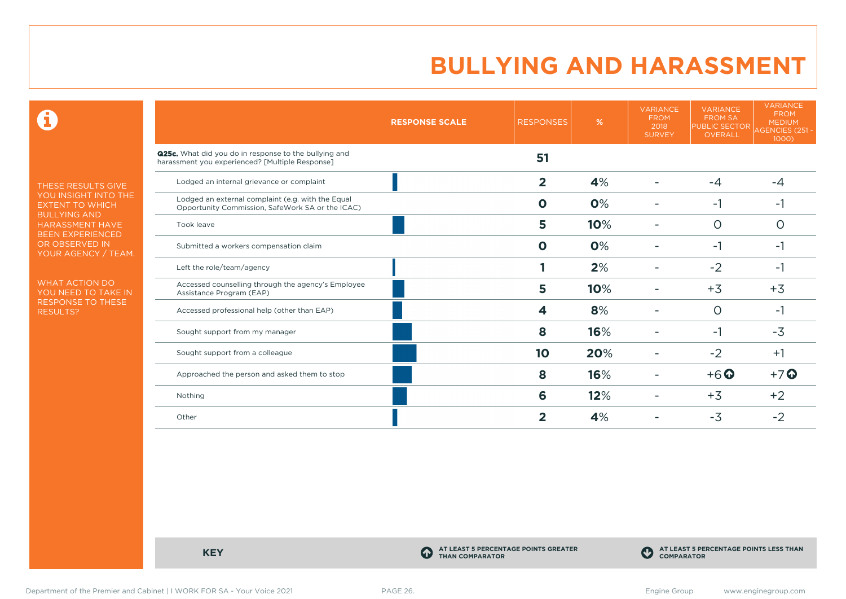$\mathbf \Theta$ 

THESE RESULTS GIVE YOU INSIGHT INTO THE EXTENT TO WHICH BULLYING AND HARASSMENT HAVE BEEN EXPERIENCED OR OBSERVED IN YOUR AGENCY / TEAM.

WHAT ACTION DO YOU NEED TO TAKE IN RESPONSE TO THESE RESULTS?

|                                                                                                          | <b>RESPONSE SCALE</b> | <b>RESPONSES</b> | %   | <b>VARIANCE</b><br><b>FROM</b><br>2018<br><b>SURVEY</b> | <b>VARIANCE</b><br><b>FROM SA</b><br><b>PUBLIC SECTOR</b><br>OVERALL | <b>VARIANCE</b><br><b>FROM</b><br><b>MEDIUM</b><br>AGENCIES (251 -<br>1000) |
|----------------------------------------------------------------------------------------------------------|-----------------------|------------------|-----|---------------------------------------------------------|----------------------------------------------------------------------|-----------------------------------------------------------------------------|
| Q25c. What did you do in response to the bullying and<br>harassment you experienced? [Multiple Response] |                       | 51               |     |                                                         |                                                                      |                                                                             |
| Lodged an internal grievance or complaint                                                                |                       | $\overline{2}$   | 4%  |                                                         | $-4$                                                                 | $-4$                                                                        |
| Lodged an external complaint (e.g. with the Equal<br>Opportunity Commission, SafeWork SA or the ICAC)    |                       | $\Omega$         | 0%  |                                                         | $-1$                                                                 | -1                                                                          |
| Took leave                                                                                               |                       | 5                | 10% |                                                         | $\Omega$                                                             | ∩                                                                           |
| Submitted a workers compensation claim                                                                   |                       | $\mathbf{o}$     | 0%  |                                                         | $-1$                                                                 | -1                                                                          |
| Left the role/team/agency                                                                                |                       |                  | 2%  |                                                         | $-2$                                                                 | $-1$                                                                        |
| Accessed counselling through the agency's Employee<br>Assistance Program (EAP)                           |                       | 5                | 10% |                                                         | $+3$                                                                 | $+3$                                                                        |
| Accessed professional help (other than EAP)                                                              |                       | 4                | 8%  |                                                         | 0                                                                    | -1                                                                          |
| Sought support from my manager                                                                           |                       | 8                | 16% |                                                         | -1                                                                   | $-3$                                                                        |
| Sought support from a colleague                                                                          |                       | 10               | 20% |                                                         | $-2$                                                                 | $+1$                                                                        |
| Approached the person and asked them to stop                                                             |                       | 8                | 16% |                                                         | $+6$ $\odot$                                                         | $+7$ $\odot$                                                                |
| Nothing                                                                                                  |                       | 6                | 12% |                                                         | $+3$                                                                 | $+2$                                                                        |
| Other                                                                                                    |                       | 2                | 4%  |                                                         | $-3$                                                                 | $-2$                                                                        |

**KEY C** 

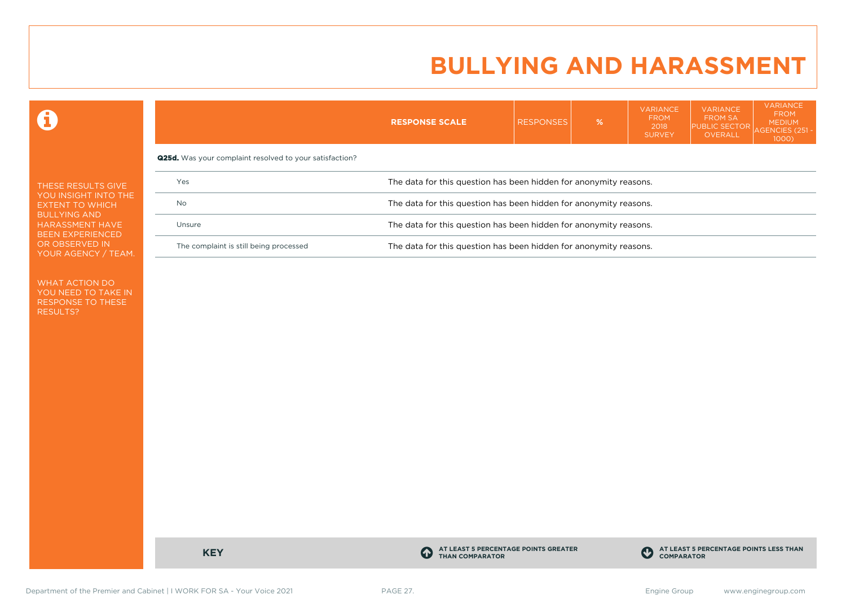VARIANCE

VARIANCE

VARIANCE

 $\mathbf \Theta$ 

|                                                                          |                                                                | <b>RESPONSE SCALE</b>                                             | <b>RESPONSES</b> | $\%$ | . <i>.</i><br><b>FROM</b><br>2018<br><b>SURVEY</b> | <b>FROM SA</b><br><b>PUBLIC SECTOR</b><br>OVERALL | <b>FROM</b><br><b>MEDIUM</b><br>AGENCIES (251 -<br>1000 |  |  |  |
|--------------------------------------------------------------------------|----------------------------------------------------------------|-------------------------------------------------------------------|------------------|------|----------------------------------------------------|---------------------------------------------------|---------------------------------------------------------|--|--|--|
|                                                                          | <b>Q25d.</b> Was your complaint resolved to your satisfaction? |                                                                   |                  |      |                                                    |                                                   |                                                         |  |  |  |
| THESE RESULTS GIVE                                                       | Yes                                                            | The data for this question has been hidden for anonymity reasons. |                  |      |                                                    |                                                   |                                                         |  |  |  |
| YOU INSIGHT INTO THE<br><b>EXTENT TO WHICH</b>                           | <b>No</b>                                                      | The data for this question has been hidden for anonymity reasons. |                  |      |                                                    |                                                   |                                                         |  |  |  |
| <b>BULLYING AND</b><br><b>HARASSMENT HAVE</b><br><b>BEEN EXPERIENCED</b> | Unsure                                                         | The data for this question has been hidden for anonymity reasons. |                  |      |                                                    |                                                   |                                                         |  |  |  |
| OR OBSERVED IN<br>YOUR AGENCY / TEAM.                                    | The complaint is still being processed                         | The data for this question has been hidden for anonymity reasons. |                  |      |                                                    |                                                   |                                                         |  |  |  |

WHAT ACTION DO YOU NEED TO TAKE IN RESPONSE TO THESE RESULTS?

**KEY C** 

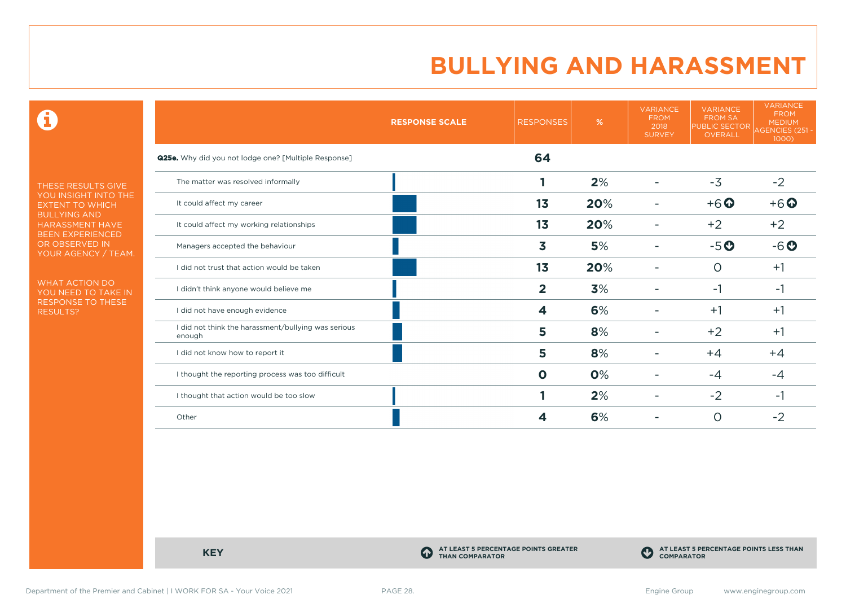$\mathbf \Theta$ 

THESE RESULTS GIVE YOU INSIGHT INTO THE EXTENT TO WHICH BULLYING AND HARASSMENT HAVE BEEN EXPERIENCED OR OBSERVED IN YOUR AGENCY / TEAM.

WHAT ACTION DO YOU NEED TO TAKE IN RESPONSE TO THESE RESULTS?

|                                                               | <b>RESPONSE SCALE</b> | <b>RESPONSES</b> | %   | <b>VARIANCE</b><br><b>FROM</b><br>2018<br><b>SURVEY</b> | <b>VARIANCE</b><br><b>FROM SA</b><br><b>PUBLIC SECTOR</b><br>OVERALL | <b>VARIANCE</b><br><b>FROM</b><br><b>MEDIUM</b><br>AGENCIES (251 -<br>1000) |
|---------------------------------------------------------------|-----------------------|------------------|-----|---------------------------------------------------------|----------------------------------------------------------------------|-----------------------------------------------------------------------------|
| <b>Q25e.</b> Why did you not lodge one? [Multiple Response]   |                       | 64               |     |                                                         |                                                                      |                                                                             |
| The matter was resolved informally                            |                       |                  | 2%  |                                                         | $-3$                                                                 | $-2$                                                                        |
| It could affect my career                                     |                       | 13               | 20% |                                                         | $+6$ <sup>O</sup>                                                    | $+6$ $\odot$                                                                |
| It could affect my working relationships                      |                       | 1 <sub>3</sub>   | 20% |                                                         | $+2$                                                                 | $+2$                                                                        |
| Managers accepted the behaviour                               |                       | 3                | 5%  |                                                         | $-5o$                                                                | $-6o$                                                                       |
| I did not trust that action would be taken                    |                       | 13               | 20% |                                                         | $\circ$                                                              | $+1$                                                                        |
| I didn't think anyone would believe me                        |                       | $\overline{2}$   | 3%  |                                                         | $-1$                                                                 | -1                                                                          |
| I did not have enough evidence                                |                       | 4                | 6%  |                                                         | $+1$                                                                 | $+1$                                                                        |
| I did not think the harassment/bullying was serious<br>enough |                       | 5                | 8%  |                                                         | $+2$                                                                 | $+1$                                                                        |
| I did not know how to report it                               |                       | 5                | 8%  |                                                         | $+4$                                                                 | $+4$                                                                        |
| I thought the reporting process was too difficult             |                       | $\mathbf 0$      | 0%  |                                                         | $-4$                                                                 | $-4$                                                                        |
| I thought that action would be too slow                       |                       |                  | 2%  |                                                         | $-2$                                                                 | -1                                                                          |
| Other                                                         |                       | 4                | 6%  |                                                         | $\circ$                                                              | $-2$                                                                        |

**KEY C** 

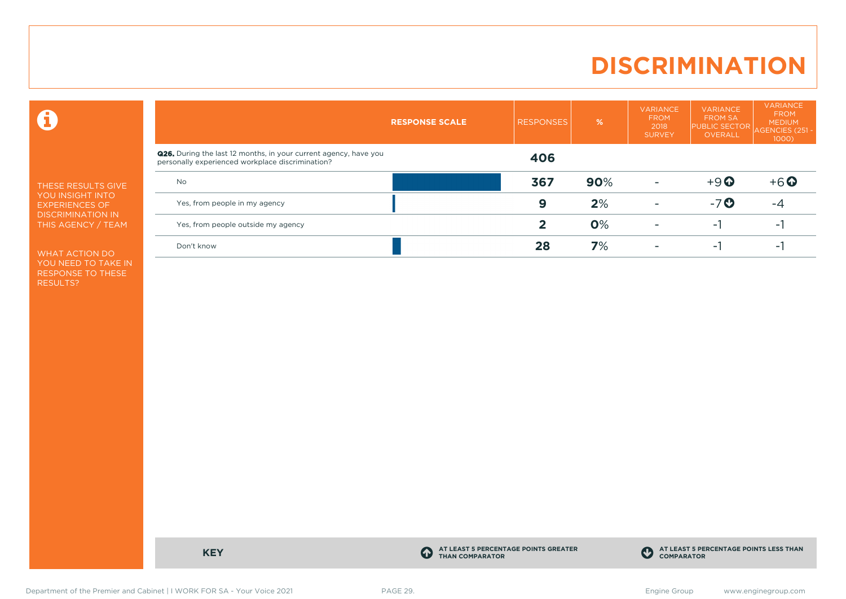# **DISCRIMINATION**

 $\mathbf \Theta$ 

THESE RESULTS GIVE YOU INSIGHT INTO EXPERIENCES OF DISCRIMINATION IN THIS AGENCY / TEAM

WHAT ACTION DO YOU NEED TO TAKE IN RESPONSE TO THESE RESULTS?

|                                                                                                                             | <b>RESPONSE SCALE</b> | <b>RESPONSES</b> | $\frac{9}{6}$ | <b>VARIANCE</b><br><b>FROM</b><br>2018<br><b>SURVEY</b> | <b>VARIANCE</b><br><b>FROM SA</b><br><b>PUBLIC SECTOR</b><br><b>OVERALL</b> | <b>VARIANCE</b><br><b>FROM</b><br><b>MEDIUM</b><br><b>AGENCIES (251)</b><br>$1000$ ) |
|-----------------------------------------------------------------------------------------------------------------------------|-----------------------|------------------|---------------|---------------------------------------------------------|-----------------------------------------------------------------------------|--------------------------------------------------------------------------------------|
| <b>Q26.</b> During the last 12 months, in your current agency, have you<br>personally experienced workplace discrimination? |                       | 406              |               |                                                         |                                                                             |                                                                                      |
| <b>No</b>                                                                                                                   |                       | 367              | 90%           |                                                         | $+9$ $\odot$                                                                | $+6$ $\odot$                                                                         |
| Yes, from people in my agency                                                                                               |                       | 9                | 2%            |                                                         | $-7o$                                                                       | -4                                                                                   |
| Yes, from people outside my agency                                                                                          |                       | 2                | 0%            |                                                         | - 1                                                                         | $\sim$                                                                               |
| Don't know                                                                                                                  |                       | 28               | 7%            |                                                         | - 1                                                                         | ۰                                                                                    |

**KEY C** 

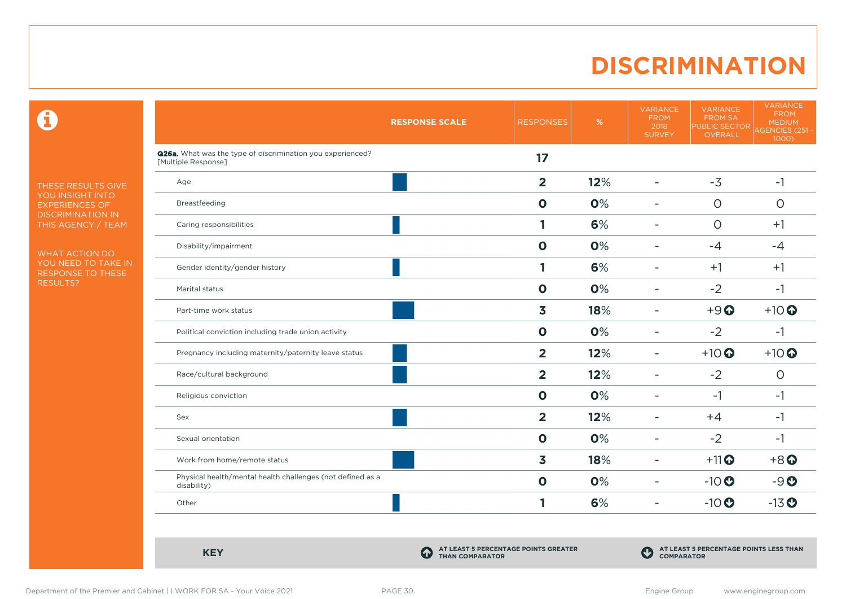# **DISCRIMINATION**

 $\mathbf \Theta$ 

THESE RESULTS GIVE YOU INSIGHT INTO EXPERIENCES OF DISCRIMINATION IN THIS AGENCY / TEAM

WHAT ACTION DO YOU NEED TO TAKE IN RESPONSE TO THESE RESULTS?

|                                                                                   | <b>RESPONSE SCALE</b> | <b>RESPONSES</b>        | $\%$ | <b>VARIANCE</b><br><b>FROM</b><br>2018<br><b>SURVEY</b> | <b>VARIANCE</b><br><b>FROM SA</b><br><b>PUBLIC SECTOR</b><br>OVERALL | <b>VARIANCE</b><br><b>FROM</b><br><b>MEDIUM</b><br>AGENCIES (251 -<br>1000) |
|-----------------------------------------------------------------------------------|-----------------------|-------------------------|------|---------------------------------------------------------|----------------------------------------------------------------------|-----------------------------------------------------------------------------|
| Q26a. What was the type of discrimination you experienced?<br>[Multiple Response] |                       | 17                      |      |                                                         |                                                                      |                                                                             |
| Age                                                                               |                       | $\overline{\mathbf{2}}$ | 12%  | $\blacksquare$                                          | $-3$                                                                 | $-1$                                                                        |
| Breastfeeding                                                                     |                       | $\mathbf 0$             | 0%   | ۰                                                       | $\circ$                                                              | $\circ$                                                                     |
| Caring responsibilities                                                           |                       | 1                       | 6%   | $\overline{\phantom{a}}$                                | $\circ$                                                              | $+1$                                                                        |
| Disability/impairment                                                             |                       | $\mathbf 0$             | 0%   | ۰                                                       | $-4$                                                                 | $-4$                                                                        |
| Gender identity/gender history                                                    |                       | 1                       | 6%   | ۰                                                       | $+1$                                                                 | $+1$                                                                        |
| Marital status                                                                    |                       | $\mathbf 0$             | 0%   | ÷.                                                      | $-2$                                                                 | $-1$                                                                        |
| Part-time work status                                                             |                       | $\overline{\mathbf{3}}$ | 18%  | $\overline{\phantom{0}}$                                | $+9$ <sup><math>\odot</math></sup>                                   | $+10$ <sup>O</sup>                                                          |
| Political conviction including trade union activity                               |                       | $\mathbf 0$             | 0%   | $\overline{\phantom{a}}$                                | $-2$                                                                 | $-1$                                                                        |
| Pregnancy including maternity/paternity leave status                              |                       | $\overline{2}$          | 12%  | ۰                                                       | $+10$                                                                | $+10$                                                                       |
| Race/cultural background                                                          |                       | $\overline{2}$          | 12%  | $\overline{\phantom{0}}$                                | $-2$                                                                 | $\circ$                                                                     |
| Religious conviction                                                              |                       | $\mathbf 0$             | 0%   | $\overline{\phantom{a}}$                                | $-1$                                                                 | $-1$                                                                        |
| Sex                                                                               |                       | $\overline{2}$          | 12%  | ۰                                                       | $+4$                                                                 | $-1$                                                                        |
| Sexual orientation                                                                |                       | $\mathbf 0$             | 0%   | ÷                                                       | $-2$                                                                 | $-1$                                                                        |
| Work from home/remote status                                                      |                       | $\overline{\mathbf{3}}$ | 18%  | $\overline{\phantom{a}}$                                | $+11$ <sup>O</sup>                                                   | $+8$ <sup>O</sup>                                                           |
| Physical health/mental health challenges (not defined as a<br>disability)         |                       | $\mathbf 0$             | 0%   | ۰                                                       | $-10$                                                                | $-9O$                                                                       |
| Other                                                                             |                       | 1                       | 6%   | ۰                                                       | $-10$                                                                | $-13$ <sup>O</sup>                                                          |

**KEY C** 

**AT LEAST 5 PERCENTAGE POINTS GREATER THAN COMPARATOR**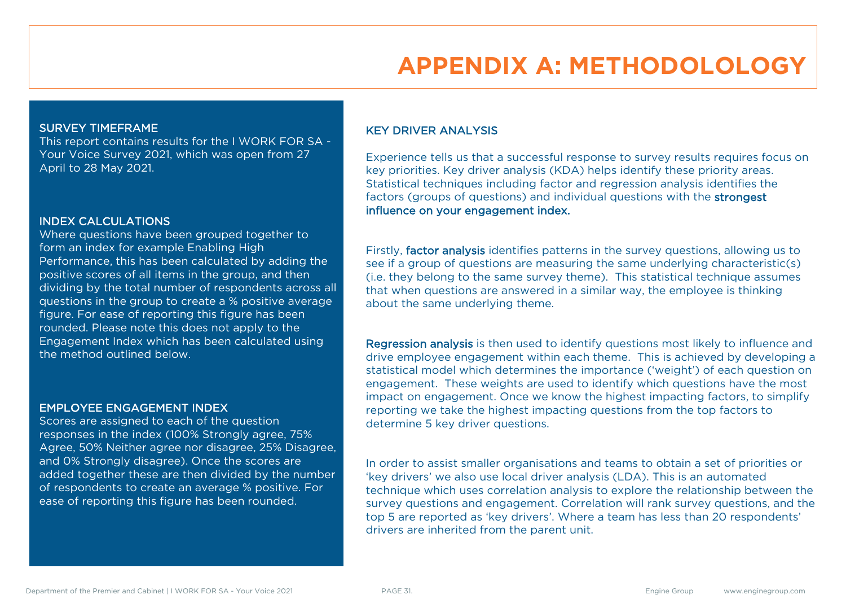# **APPENDIX A: METHODOLOLOGY**

#### SURVEY TIMEFRAME

This report contains results for the I WORK FOR SA - Your Voice Survey 2021, which was open from 27 April to 28 May 2021.

#### INDEX CALCULATIONS

Where questions have been grouped together to form an index for example Enabling High Performance, this has been calculated by adding the positive scores of all items in the group, and then dividing by the total number of respondents across all questions in the group to create a % positive average figure. For ease of reporting this figure has been rounded. Please note this does not apply to the Engagement Index which has been calculated using the method outlined below.

#### EMPLOYEE ENGAGEMENT INDEX

Scores are assigned to each of the question responses in the index (100% Strongly agree, 75% Agree, 50% Neither agree nor disagree, 25% Disagree, and 0% Strongly disagree). Once the scores are added together these are then divided by the number of respondents to create an average % positive. For ease of reporting this figure has been rounded.

### KEY DRIVER ANALYSIS

Experience tells us that a successful response to survey results requires focus on key priorities. Key driver analysis (KDA) helps identify these priority areas. Statistical techniques including factor and regression analysis identifies the factors (groups of questions) and individual questions with the strongest influence on your engagement index.

Firstly, factor analysis identifies patterns in the survey questions, allowing us to see if a group of questions are measuring the same underlying characteristic(s) (i.e. they belong to the same survey theme). This statistical technique assumes that when questions are answered in a similar way, the employee is thinking about the same underlying theme.

Regression analysis is then used to identify questions most likely to influence and drive employee engagement within each theme. This is achieved by developing a statistical model which determines the importance ('weight') of each question on engagement. These weights are used to identify which questions have the most impact on engagement. Once we know the highest impacting factors, to simplify reporting we take the highest impacting questions from the top factors to determine 5 key driver questions.

In order to assist smaller organisations and teams to obtain a set of priorities or 'key drivers' we also use local driver analysis (LDA). This is an automated technique which uses correlation analysis to explore the relationship between the survey questions and engagement. Correlation will rank survey questions, and the top 5 are reported as 'key drivers'. Where a team has less than 20 respondents' drivers are inherited from the parent unit.